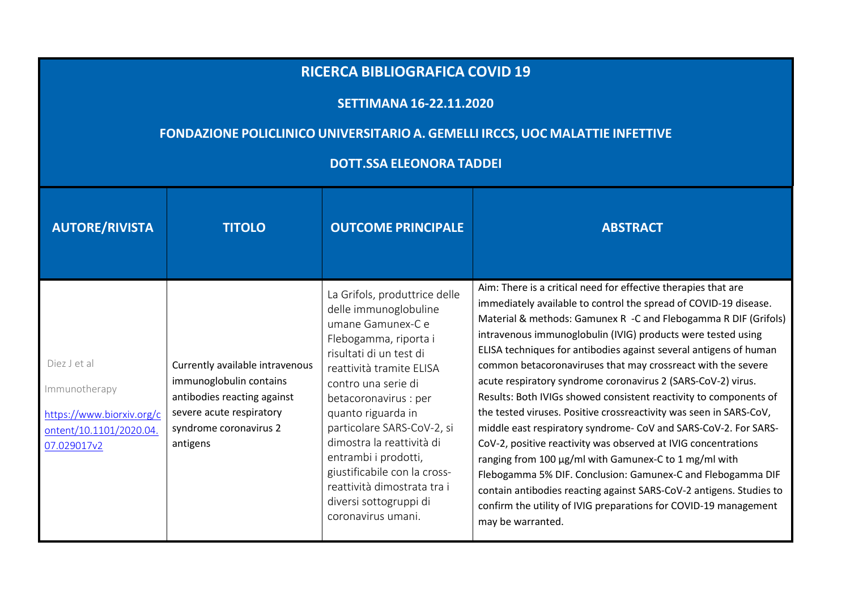## **RICERCA BIBLIOGRAFICA COVID <sup>19</sup>**

## **SETTIMANA 16-22.11.2020**

## **FONDAZIONE POLICLINICO UNIVERSITARIO A. GEMELLI IRCCS, UOC MALATTIE INFETTIVE**

## **DOTT.SSA ELEONORA TADDEI**

| <b>AUTORE/RIVISTA</b>                                                                                | <b>TITOLO</b>                                                                                                                                               | <b>OUTCOME PRINCIPALE</b>                                                                                                                                                                                                                                                                                                                                                                                                           | <b>ABSTRACT</b>                                                                                                                                                                                                                                                                                                                                                                                                                                                                                                                                                                                                                                                                                                                                                                                                                                                                                                                                                                                                                                    |
|------------------------------------------------------------------------------------------------------|-------------------------------------------------------------------------------------------------------------------------------------------------------------|-------------------------------------------------------------------------------------------------------------------------------------------------------------------------------------------------------------------------------------------------------------------------------------------------------------------------------------------------------------------------------------------------------------------------------------|----------------------------------------------------------------------------------------------------------------------------------------------------------------------------------------------------------------------------------------------------------------------------------------------------------------------------------------------------------------------------------------------------------------------------------------------------------------------------------------------------------------------------------------------------------------------------------------------------------------------------------------------------------------------------------------------------------------------------------------------------------------------------------------------------------------------------------------------------------------------------------------------------------------------------------------------------------------------------------------------------------------------------------------------------|
| Diez J et al<br>Immunotherapy<br>https://www.biorxiv.org/c<br>ontent/10.1101/2020.04.<br>07.029017v2 | Currently available intravenous<br>immunoglobulin contains<br>antibodies reacting against<br>severe acute respiratory<br>syndrome coronavirus 2<br>antigens | La Grifols, produttrice delle<br>delle immunoglobuline<br>umane Gamunex-C e<br>Flebogamma, riporta i<br>risultati di un test di<br>reattività tramite ELISA<br>contro una serie di<br>betacoronavirus : per<br>quanto riguarda in<br>particolare SARS-CoV-2, si<br>dimostra la reattività di<br>entrambi i prodotti,<br>giustificabile con la cross-<br>reattività dimostrata tra i<br>diversi sottogruppi di<br>coronavirus umani. | Aim: There is a critical need for effective therapies that are<br>immediately available to control the spread of COVID-19 disease.<br>Material & methods: Gamunex R -C and Flebogamma R DIF (Grifols)<br>intravenous immunoglobulin (IVIG) products were tested using<br>ELISA techniques for antibodies against several antigens of human<br>common betacoronaviruses that may crossreact with the severe<br>acute respiratory syndrome coronavirus 2 (SARS-CoV-2) virus.<br>Results: Both IVIGs showed consistent reactivity to components of<br>the tested viruses. Positive crossreactivity was seen in SARS-CoV,<br>middle east respiratory syndrome- CoV and SARS-CoV-2. For SARS-<br>CoV-2, positive reactivity was observed at IVIG concentrations<br>ranging from 100 µg/ml with Gamunex-C to 1 mg/ml with<br>Flebogamma 5% DIF. Conclusion: Gamunex-C and Flebogamma DIF<br>contain antibodies reacting against SARS-CoV-2 antigens. Studies to<br>confirm the utility of IVIG preparations for COVID-19 management<br>may be warranted. |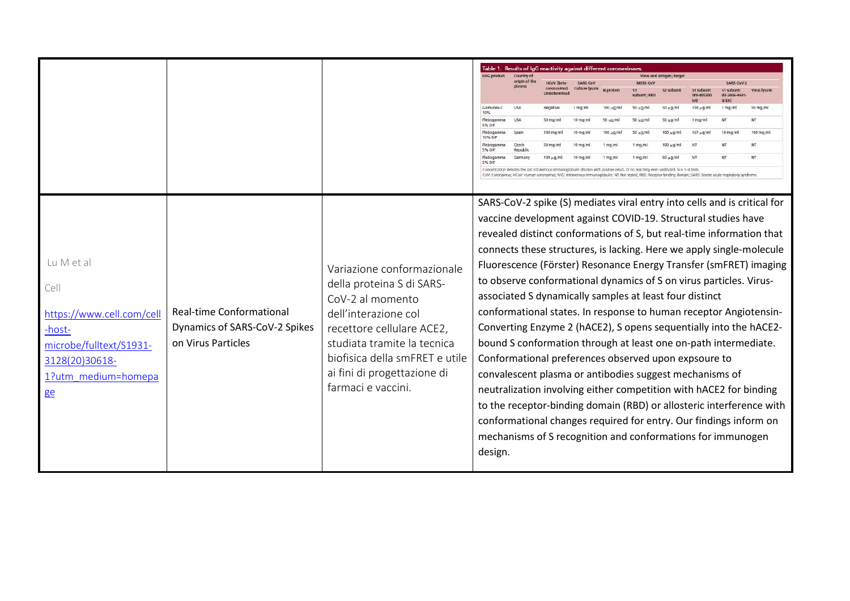|                                                                                                                                     |                                                                                        |                                                                                                                                                                                                                                                        |                                                                                                                                                                                                                                                                                                                                                                                                                                                                                                                                      | Table 1. Results of IgG reactivity against different coronaviruses                                                                      |                   |                 |                    |                          |                         |                    |                                                                                                                                            |                                                                                                                                                                                                                                                                                                                                                                                                                                                                                                                                                                                      |
|-------------------------------------------------------------------------------------------------------------------------------------|----------------------------------------------------------------------------------------|--------------------------------------------------------------------------------------------------------------------------------------------------------------------------------------------------------------------------------------------------------|--------------------------------------------------------------------------------------------------------------------------------------------------------------------------------------------------------------------------------------------------------------------------------------------------------------------------------------------------------------------------------------------------------------------------------------------------------------------------------------------------------------------------------------|-----------------------------------------------------------------------------------------------------------------------------------------|-------------------|-----------------|--------------------|--------------------------|-------------------------|--------------------|--------------------------------------------------------------------------------------------------------------------------------------------|--------------------------------------------------------------------------------------------------------------------------------------------------------------------------------------------------------------------------------------------------------------------------------------------------------------------------------------------------------------------------------------------------------------------------------------------------------------------------------------------------------------------------------------------------------------------------------------|
|                                                                                                                                     |                                                                                        |                                                                                                                                                                                                                                                        | <b>IVIG product</b>                                                                                                                                                                                                                                                                                                                                                                                                                                                                                                                  | Country of                                                                                                                              |                   |                 |                    |                          | Virus and antigen/targe |                    |                                                                                                                                            |                                                                                                                                                                                                                                                                                                                                                                                                                                                                                                                                                                                      |
|                                                                                                                                     |                                                                                        |                                                                                                                                                                                                                                                        |                                                                                                                                                                                                                                                                                                                                                                                                                                                                                                                                      | origin of the                                                                                                                           | <b>HCoV</b> (hata | <b>SADS-COV</b> |                    |                          |                         |                    | SARS-COM-                                                                                                                                  |                                                                                                                                                                                                                                                                                                                                                                                                                                                                                                                                                                                      |
|                                                                                                                                     |                                                                                        |                                                                                                                                                                                                                                                        |                                                                                                                                                                                                                                                                                                                                                                                                                                                                                                                                      |                                                                                                                                         | coronavinis).     |                 |                    | aihunit / DRS            |                         |                    | (EI-7606-960)                                                                                                                              |                                                                                                                                                                                                                                                                                                                                                                                                                                                                                                                                                                                      |
|                                                                                                                                     |                                                                                        |                                                                                                                                                                                                                                                        | Gamunex-C<br>10%                                                                                                                                                                                                                                                                                                                                                                                                                                                                                                                     |                                                                                                                                         | Negativ           | $1$ ma/m        | 100 µg/m           | $50 \text{ µq/m}$        | 50 ug/m                 | $100 \text{ m/m}$  | G kit)<br>1 mg/ml                                                                                                                          | 50 mg/ml                                                                                                                                                                                                                                                                                                                                                                                                                                                                                                                                                                             |
|                                                                                                                                     |                                                                                        |                                                                                                                                                                                                                                                        | Flebogamma<br>5% Dif                                                                                                                                                                                                                                                                                                                                                                                                                                                                                                                 |                                                                                                                                         | 50 mg/m           | $10$ mn/m       | $50 \text{ u}$ g/m | $50 \text{ u}0/\text{m}$ | $50 \mu$ g/m            |                    | NT                                                                                                                                         | NT                                                                                                                                                                                                                                                                                                                                                                                                                                                                                                                                                                                   |
|                                                                                                                                     |                                                                                        |                                                                                                                                                                                                                                                        | Flebogamma<br>10% DIF                                                                                                                                                                                                                                                                                                                                                                                                                                                                                                                |                                                                                                                                         | 100 mg/n          | $10$ mg/ $\pi$  | 100 uG/m           | $50 \text{ m}$           | $100 \text{ m}$         | $167 \times 0/\pi$ | $10$ mg/m                                                                                                                                  | 100 mg/ml                                                                                                                                                                                                                                                                                                                                                                                                                                                                                                                                                                            |
|                                                                                                                                     |                                                                                        |                                                                                                                                                                                                                                                        | Flebogamma<br>5% DIF                                                                                                                                                                                                                                                                                                                                                                                                                                                                                                                 | Czech<br>Republi                                                                                                                        | $50$ mg/m         |                 | $5$ man $/$ n      | $1 \text{ ma/m}$         |                         |                    |                                                                                                                                            | NT                                                                                                                                                                                                                                                                                                                                                                                                                                                                                                                                                                                   |
|                                                                                                                                     |                                                                                        |                                                                                                                                                                                                                                                        | Flebogamma<br>5% Dif                                                                                                                                                                                                                                                                                                                                                                                                                                                                                                                 |                                                                                                                                         |                   |                 |                    | I main                   |                         |                    | NT                                                                                                                                         | NT                                                                                                                                                                                                                                                                                                                                                                                                                                                                                                                                                                                   |
|                                                                                                                                     |                                                                                        |                                                                                                                                                                                                                                                        |                                                                                                                                                                                                                                                                                                                                                                                                                                                                                                                                      | Concentration denotes the last intravenous immunoglobulin dilution with positive result, or no reactivity even undiluted. N = 1-4 tests |                   |                 |                    |                          |                         |                    | luman coronavirus: IVIG: Intravenous Immunoglobulin: NT: Not tested: RBD: Receptor-binding domain: SARS: Severe acute respiratory syndrome |                                                                                                                                                                                                                                                                                                                                                                                                                                                                                                                                                                                      |
| Lu M et al<br>Cell<br>https://www.cell.com/cell<br>-host-<br>microbe/fulltext/S1931-<br>3128(20)30618-<br>1?utm medium=homepa<br>ge | <b>Real-time Conformational</b><br>Dynamics of SARS-CoV-2 Spikes<br>on Virus Particles | Variazione conformazionale<br>della proteina S di SARS-<br>CoV-2 al momento<br>dell'interazione col<br>recettore cellulare ACE2,<br>studiata tramite la tecnica<br>biofisica della smFRET e utile<br>ai fini di progettazione di<br>farmaci e vaccini. | vaccine development against COVID-19. Structural studies have<br>to observe conformational dynamics of S on virus particles. Virus-<br>associated S dynamically samples at least four distinct<br>bound S conformation through at least one on-path intermediate.<br>Conformational preferences observed upon expsoure to<br>convalescent plasma or antibodies suggest mechanisms of<br>neutralization involving either competition with hACE2 for binding<br>mechanisms of S recognition and conformations for immunogen<br>design. |                                                                                                                                         |                   |                 |                    |                          |                         |                    |                                                                                                                                            | SARS-CoV-2 spike (S) mediates viral entry into cells and is critical for<br>revealed distinct conformations of S, but real-time information that<br>connects these structures, is lacking. Here we apply single-molecule<br>Fluorescence (Förster) Resonance Energy Transfer (smFRET) imaging<br>conformational states. In response to human receptor Angiotensin-<br>Converting Enzyme 2 (hACE2), S opens sequentially into the hACE2-<br>to the receptor-binding domain (RBD) or allosteric interference with<br>conformational changes required for entry. Our findings inform on |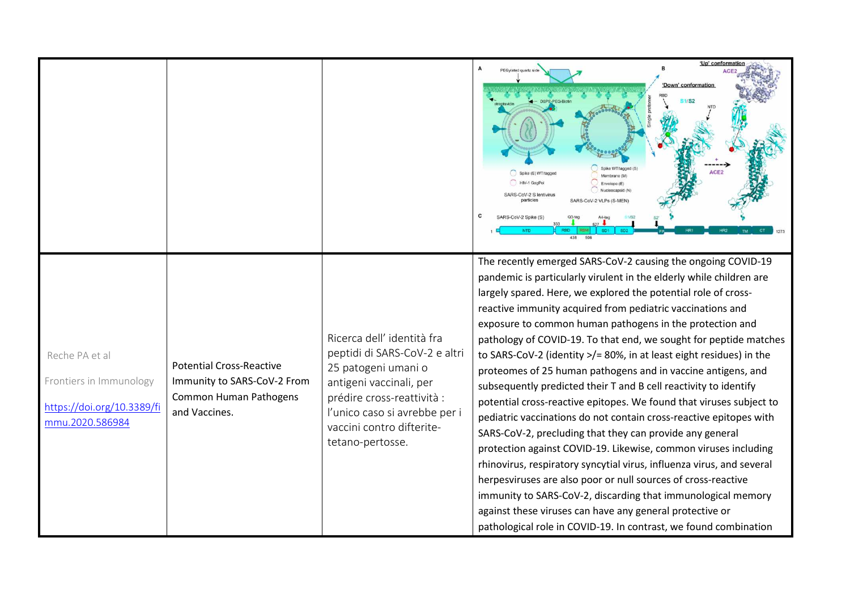|                                                                                            |                                                                                                           |                                                                                                                                                                                                                               | 'Up' conformatio<br>PEGylated quartz side<br>'Down' conformation<br>Spike (S) WT/tagged<br>HIV-1 GagPol<br>ARS-CoV-2 S lentivirus<br>particles<br>ARS-CoV-2 VLPs (S-MFN<br>NTD                                                                                                                                                                                                                                                                                                                                                                                                                                                                                                                                                                                                                                                                                                                                                                                                                                                                                                                                                                                                                                                        |
|--------------------------------------------------------------------------------------------|-----------------------------------------------------------------------------------------------------------|-------------------------------------------------------------------------------------------------------------------------------------------------------------------------------------------------------------------------------|---------------------------------------------------------------------------------------------------------------------------------------------------------------------------------------------------------------------------------------------------------------------------------------------------------------------------------------------------------------------------------------------------------------------------------------------------------------------------------------------------------------------------------------------------------------------------------------------------------------------------------------------------------------------------------------------------------------------------------------------------------------------------------------------------------------------------------------------------------------------------------------------------------------------------------------------------------------------------------------------------------------------------------------------------------------------------------------------------------------------------------------------------------------------------------------------------------------------------------------|
| Reche PA et al<br>Frontiers in Immunology<br>https://doi.org/10.3389/fi<br>mmu.2020.586984 | <b>Potential Cross-Reactive</b><br>Immunity to SARS-CoV-2 From<br>Common Human Pathogens<br>and Vaccines. | Ricerca dell' identità fra<br>peptidi di SARS-CoV-2 e altri<br>25 patogeni umani o<br>antigeni vaccinali, per<br>prédire cross-reattività :<br>l'unico caso si avrebbe per i<br>vaccini contro difterite-<br>tetano-pertosse. | The recently emerged SARS-CoV-2 causing the ongoing COVID-19<br>pandemic is particularly virulent in the elderly while children are<br>largely spared. Here, we explored the potential role of cross-<br>reactive immunity acquired from pediatric vaccinations and<br>exposure to common human pathogens in the protection and<br>pathology of COVID-19. To that end, we sought for peptide matches<br>to SARS-CoV-2 (identity >/= 80%, in at least eight residues) in the<br>proteomes of 25 human pathogens and in vaccine antigens, and<br>subsequently predicted their T and B cell reactivity to identify<br>potential cross-reactive epitopes. We found that viruses subject to<br>pediatric vaccinations do not contain cross-reactive epitopes with<br>SARS-CoV-2, precluding that they can provide any general<br>protection against COVID-19. Likewise, common viruses including<br>rhinovirus, respiratory syncytial virus, influenza virus, and several<br>herpesviruses are also poor or null sources of cross-reactive<br>immunity to SARS-CoV-2, discarding that immunological memory<br>against these viruses can have any general protective or<br>pathological role in COVID-19. In contrast, we found combination |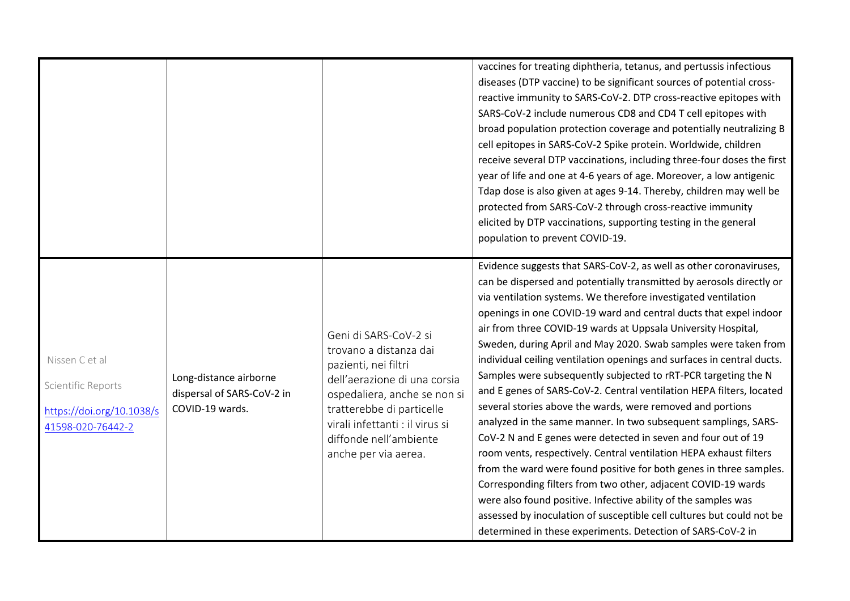|                                                                                        |                                                                         |                                                                                                                                                                                                                                                           | vaccines for treating diphtheria, tetanus, and pertussis infectious<br>diseases (DTP vaccine) to be significant sources of potential cross-<br>reactive immunity to SARS-CoV-2. DTP cross-reactive epitopes with<br>SARS-CoV-2 include numerous CD8 and CD4 T cell epitopes with<br>broad population protection coverage and potentially neutralizing B<br>cell epitopes in SARS-CoV-2 Spike protein. Worldwide, children<br>receive several DTP vaccinations, including three-four doses the first<br>year of life and one at 4-6 years of age. Moreover, a low antigenic<br>Tdap dose is also given at ages 9-14. Thereby, children may well be<br>protected from SARS-CoV-2 through cross-reactive immunity<br>elicited by DTP vaccinations, supporting testing in the general<br>population to prevent COVID-19.<br>Evidence suggests that SARS-CoV-2, as well as other coronaviruses,                                                                                                                                                                                                                                                                                                   |
|----------------------------------------------------------------------------------------|-------------------------------------------------------------------------|-----------------------------------------------------------------------------------------------------------------------------------------------------------------------------------------------------------------------------------------------------------|----------------------------------------------------------------------------------------------------------------------------------------------------------------------------------------------------------------------------------------------------------------------------------------------------------------------------------------------------------------------------------------------------------------------------------------------------------------------------------------------------------------------------------------------------------------------------------------------------------------------------------------------------------------------------------------------------------------------------------------------------------------------------------------------------------------------------------------------------------------------------------------------------------------------------------------------------------------------------------------------------------------------------------------------------------------------------------------------------------------------------------------------------------------------------------------------|
| Nissen C et al<br>Scientific Reports<br>https://doi.org/10.1038/s<br>41598-020-76442-2 | Long-distance airborne<br>dispersal of SARS-CoV-2 in<br>COVID-19 wards. | Geni di SARS-CoV-2 si<br>trovano a distanza dai<br>pazienti, nei filtri<br>dell'aerazione di una corsia<br>ospedaliera, anche se non si<br>tratterebbe di particelle<br>virali infettanti : il virus si<br>diffonde nell'ambiente<br>anche per via aerea. | can be dispersed and potentially transmitted by aerosols directly or<br>via ventilation systems. We therefore investigated ventilation<br>openings in one COVID-19 ward and central ducts that expel indoor<br>air from three COVID-19 wards at Uppsala University Hospital,<br>Sweden, during April and May 2020. Swab samples were taken from<br>individual ceiling ventilation openings and surfaces in central ducts.<br>Samples were subsequently subjected to rRT-PCR targeting the N<br>and E genes of SARS-CoV-2. Central ventilation HEPA filters, located<br>several stories above the wards, were removed and portions<br>analyzed in the same manner. In two subsequent samplings, SARS-<br>CoV-2 N and E genes were detected in seven and four out of 19<br>room vents, respectively. Central ventilation HEPA exhaust filters<br>from the ward were found positive for both genes in three samples.<br>Corresponding filters from two other, adjacent COVID-19 wards<br>were also found positive. Infective ability of the samples was<br>assessed by inoculation of susceptible cell cultures but could not be<br>determined in these experiments. Detection of SARS-CoV-2 in |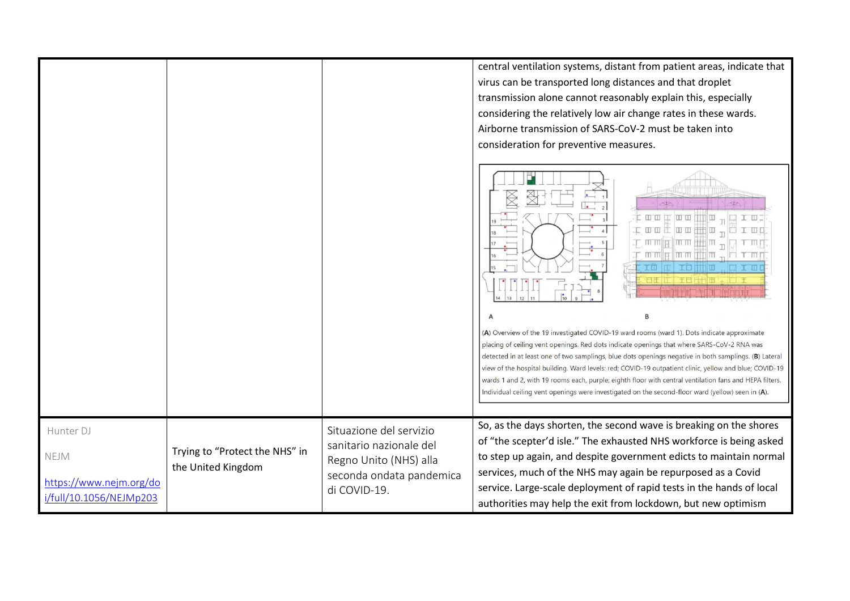|                                                                         |                                                      |                                                                                                                          | central ventilation systems, distant from patient areas, indicate that<br>virus can be transported long distances and that droplet<br>transmission alone cannot reasonably explain this, especially<br>considering the relatively low air change rates in these wards.<br>Airborne transmission of SARS-CoV-2 must be taken into<br>consideration for preventive measures.                                                                                                                                                                                                                                                   |
|-------------------------------------------------------------------------|------------------------------------------------------|--------------------------------------------------------------------------------------------------------------------------|------------------------------------------------------------------------------------------------------------------------------------------------------------------------------------------------------------------------------------------------------------------------------------------------------------------------------------------------------------------------------------------------------------------------------------------------------------------------------------------------------------------------------------------------------------------------------------------------------------------------------|
|                                                                         |                                                      |                                                                                                                          | $\rightarrow$<br>$\mathsf{L} \mathbin{\texttt{w}} \mathbin{\texttt{w}} \mathbin{\texttt{w}} \mathbin{\texttt{w}} \mathbin{\texttt{w}} \mathbin{\texttt{w}}$<br>$\mathbb I$ or<br>$\Box$ $\Box$ $\Box$<br>raaqiaattila <sup>u</sup> aad<br>$+$ mm<br>mm  e  mm  i   m <sub>m</sub>   r  r mn<br>TO THE REAL OF                                                                                                                                                                                                                                                                                                                |
|                                                                         |                                                      |                                                                                                                          | (A) Overview of the 19 investigated COVID-19 ward rooms (ward 1). Dots indicate approximate<br>placing of ceiling vent openings. Red dots indicate openings that where SARS-CoV-2 RNA was<br>detected in at least one of two samplings, blue dots openings negative in both samplings. (B) Lateral<br>view of the hospital building. Ward levels: red; COVID-19 outpatient clinic, yellow and blue; COVID-19<br>wards 1 and 2, with 19 rooms each, purple; eighth floor with central ventilation fans and HEPA filters.<br>Individual ceiling vent openings were investigated on the second-floor ward (yellow) seen in (A). |
| Hunter DJ<br>NEJM<br>https://www.nejm.org/do<br>i/full/10.1056/NEJMp203 | Trying to "Protect the NHS" in<br>the United Kingdom | Situazione del servizio<br>sanitario nazionale del<br>Regno Unito (NHS) alla<br>seconda ondata pandemica<br>di COVID-19. | So, as the days shorten, the second wave is breaking on the shores<br>of "the scepter'd isle." The exhausted NHS workforce is being asked<br>to step up again, and despite government edicts to maintain normal<br>services, much of the NHS may again be repurposed as a Covid<br>service. Large-scale deployment of rapid tests in the hands of local<br>authorities may help the exit from lockdown, but new optimism                                                                                                                                                                                                     |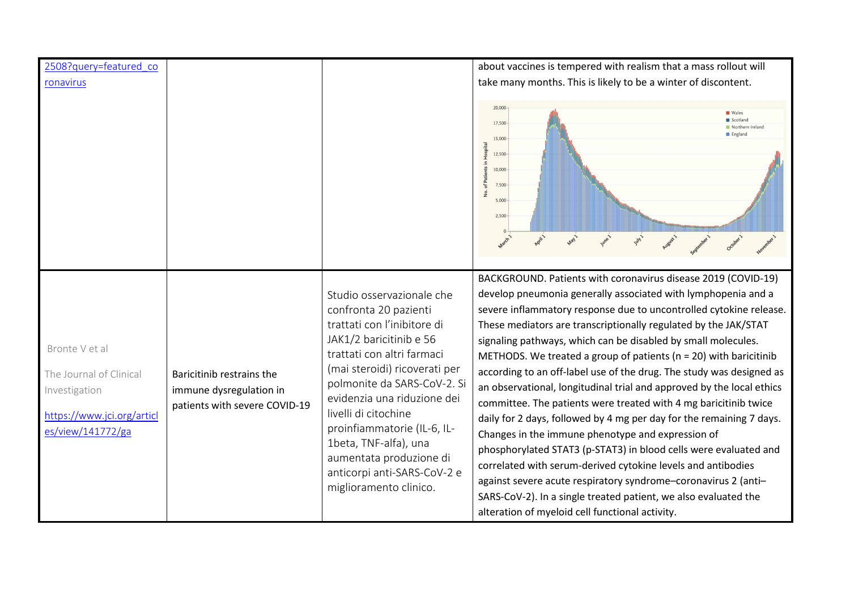| 2508?query=featured_co                                                                                        |                                                                                       |                                                                                                                                                                                                                                                                                                                                                                                                               | about vaccines is tempered with realism that a mass rollout will                                                                                                                                                                                                                                                                                                                                                                                                                                                                                                                                                                                                                                                                                                                                                                                                                                                                                                                                                                                                                                |
|---------------------------------------------------------------------------------------------------------------|---------------------------------------------------------------------------------------|---------------------------------------------------------------------------------------------------------------------------------------------------------------------------------------------------------------------------------------------------------------------------------------------------------------------------------------------------------------------------------------------------------------|-------------------------------------------------------------------------------------------------------------------------------------------------------------------------------------------------------------------------------------------------------------------------------------------------------------------------------------------------------------------------------------------------------------------------------------------------------------------------------------------------------------------------------------------------------------------------------------------------------------------------------------------------------------------------------------------------------------------------------------------------------------------------------------------------------------------------------------------------------------------------------------------------------------------------------------------------------------------------------------------------------------------------------------------------------------------------------------------------|
| ronavirus                                                                                                     |                                                                                       |                                                                                                                                                                                                                                                                                                                                                                                                               | take many months. This is likely to be a winter of discontent.                                                                                                                                                                                                                                                                                                                                                                                                                                                                                                                                                                                                                                                                                                                                                                                                                                                                                                                                                                                                                                  |
|                                                                                                               |                                                                                       |                                                                                                                                                                                                                                                                                                                                                                                                               | $20,000 -$<br>Wales<br>Scotland<br>17,500<br>Northern Ireland<br>England<br>15,000-<br>in Hospital<br>12,500<br>of Patients<br>$10,000 -$<br>7,500<br>ιé.<br>5,000<br>$2,500 -$<br>only                                                                                                                                                                                                                                                                                                                                                                                                                                                                                                                                                                                                                                                                                                                                                                                                                                                                                                         |
|                                                                                                               |                                                                                       |                                                                                                                                                                                                                                                                                                                                                                                                               |                                                                                                                                                                                                                                                                                                                                                                                                                                                                                                                                                                                                                                                                                                                                                                                                                                                                                                                                                                                                                                                                                                 |
| Bronte V et al<br>The Journal of Clinical<br>Investigation<br>https://www.jci.org/articl<br>es/view/141772/ga | Baricitinib restrains the<br>immune dysregulation in<br>patients with severe COVID-19 | Studio osservazionale che<br>confronta 20 pazienti<br>trattati con l'inibitore di<br>JAK1/2 baricitinib e 56<br>trattati con altri farmaci<br>(mai steroidi) ricoverati per<br>polmonite da SARS-CoV-2. Si<br>evidenzia una riduzione dei<br>livelli di citochine<br>proinfiammatorie (IL-6, IL-<br>1beta, TNF-alfa), una<br>aumentata produzione di<br>anticorpi anti-SARS-CoV-2 e<br>miglioramento clinico. | BACKGROUND. Patients with coronavirus disease 2019 (COVID-19)<br>develop pneumonia generally associated with lymphopenia and a<br>severe inflammatory response due to uncontrolled cytokine release.<br>These mediators are transcriptionally regulated by the JAK/STAT<br>signaling pathways, which can be disabled by small molecules.<br>METHODS. We treated a group of patients ( $n = 20$ ) with baricitinib<br>according to an off-label use of the drug. The study was designed as<br>an observational, longitudinal trial and approved by the local ethics<br>committee. The patients were treated with 4 mg baricitinib twice<br>daily for 2 days, followed by 4 mg per day for the remaining 7 days.<br>Changes in the immune phenotype and expression of<br>phosphorylated STAT3 (p-STAT3) in blood cells were evaluated and<br>correlated with serum-derived cytokine levels and antibodies<br>against severe acute respiratory syndrome-coronavirus 2 (anti-<br>SARS-CoV-2). In a single treated patient, we also evaluated the<br>alteration of myeloid cell functional activity. |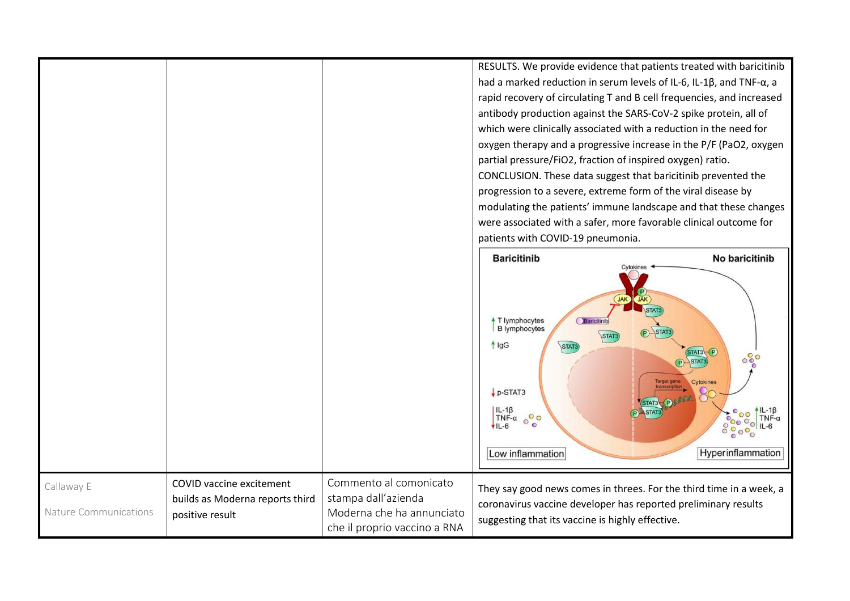|                                     |                                                                                |                                                                                                            | RESULTS. We provide evidence that patients treated with baricitinib<br>had a marked reduction in serum levels of IL-6, IL-1 $\beta$ , and TNF- $\alpha$ , a<br>rapid recovery of circulating T and B cell frequencies, and increased<br>antibody production against the SARS-CoV-2 spike protein, all of<br>which were clinically associated with a reduction in the need for<br>oxygen therapy and a progressive increase in the P/F (PaO2, oxygen<br>partial pressure/FiO2, fraction of inspired oxygen) ratio.<br>CONCLUSION. These data suggest that baricitinib prevented the<br>progression to a severe, extreme form of the viral disease by<br>modulating the patients' immune landscape and that these changes<br>were associated with a safer, more favorable clinical outcome for<br>patients with COVID-19 pneumonia. |                                                                                                                                                                                                                                              |
|-------------------------------------|--------------------------------------------------------------------------------|------------------------------------------------------------------------------------------------------------|-----------------------------------------------------------------------------------------------------------------------------------------------------------------------------------------------------------------------------------------------------------------------------------------------------------------------------------------------------------------------------------------------------------------------------------------------------------------------------------------------------------------------------------------------------------------------------------------------------------------------------------------------------------------------------------------------------------------------------------------------------------------------------------------------------------------------------------|----------------------------------------------------------------------------------------------------------------------------------------------------------------------------------------------------------------------------------------------|
|                                     |                                                                                |                                                                                                            | <b>Baricitinib</b><br>JAK<br>T lymphocytes<br>Baricitinib<br><b>B</b> lymphocytes<br>STAT:<br>$f$ $lgG$<br>STAT3<br>$\n  p-STAT3\n$<br>IL-1β<br>TNF-α<br>$\circ \circ$<br>$VIL-6$<br>Low inflammation                                                                                                                                                                                                                                                                                                                                                                                                                                                                                                                                                                                                                             | No baricitinib<br><b>JAK</b><br>STAT3 P<br>$\circ \, \circ \, \circ \, \circ$<br><b>P</b> STAT3<br>Cytokines<br>STAT3 DIVINE<br>$\uparrow$ IL-1 $\upbeta$<br>TNF- $\alpha$<br>STAT3<br><b>2000 TINE-C</b><br>00000 IL-6<br>Hyperinflammation |
| Callaway E<br>Nature Communications | COVID vaccine excitement<br>builds as Moderna reports third<br>positive result | Commento al comonicato<br>stampa dall'azienda<br>Moderna che ha annunciato<br>che il proprio vaccino a RNA | They say good news comes in threes. For the third time in a week, a<br>coronavirus vaccine developer has reported preliminary results<br>suggesting that its vaccine is highly effective.                                                                                                                                                                                                                                                                                                                                                                                                                                                                                                                                                                                                                                         |                                                                                                                                                                                                                                              |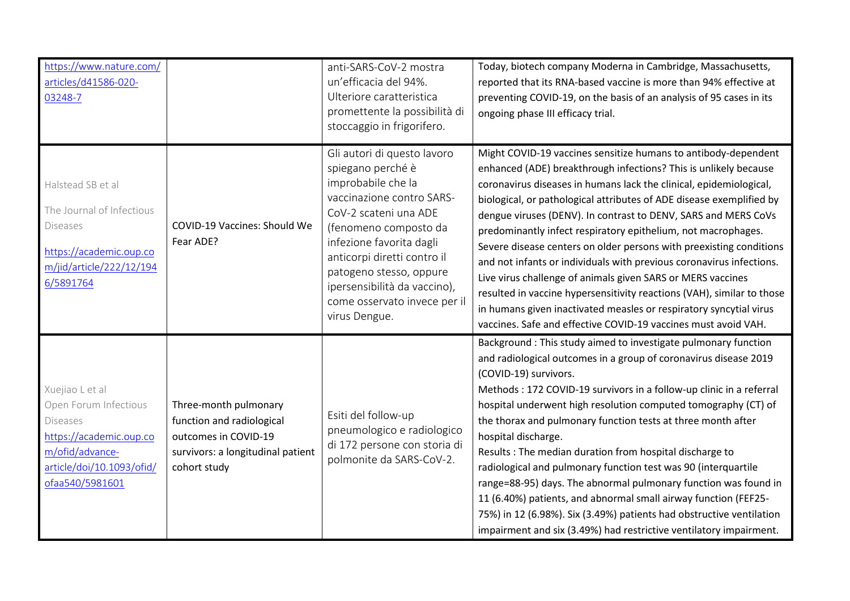| https://www.nature.com/<br>articles/d41586-020-<br>03248-7                                                                                                |                                                                                                                                 | anti-SARS-CoV-2 mostra<br>un'efficacia del 94%.<br>Ulteriore caratteristica<br>promettente la possibilità di<br>stoccaggio in frigorifero.                                                                                                                                                                                   | Today, biotech company Moderna in Cambridge, Massachusetts,<br>reported that its RNA-based vaccine is more than 94% effective at<br>preventing COVID-19, on the basis of an analysis of 95 cases in its<br>ongoing phase III efficacy trial.                                                                                                                                                                                                                                                                                                                                                                                                                                                                                                                                                                                                        |
|-----------------------------------------------------------------------------------------------------------------------------------------------------------|---------------------------------------------------------------------------------------------------------------------------------|------------------------------------------------------------------------------------------------------------------------------------------------------------------------------------------------------------------------------------------------------------------------------------------------------------------------------|-----------------------------------------------------------------------------------------------------------------------------------------------------------------------------------------------------------------------------------------------------------------------------------------------------------------------------------------------------------------------------------------------------------------------------------------------------------------------------------------------------------------------------------------------------------------------------------------------------------------------------------------------------------------------------------------------------------------------------------------------------------------------------------------------------------------------------------------------------|
| Halstead SB et al<br>The Journal of Infectious<br><b>Diseases</b><br>https://academic.oup.co<br>m/jid/article/222/12/194<br>6/5891764                     | COVID-19 Vaccines: Should We<br>Fear ADE?                                                                                       | Gli autori di questo lavoro<br>spiegano perché è<br>improbabile che la<br>vaccinazione contro SARS-<br>CoV-2 scateni una ADE<br>(fenomeno composto da<br>infezione favorita dagli<br>anticorpi diretti contro il<br>patogeno stesso, oppure<br>ipersensibilità da vaccino),<br>come osservato invece per il<br>virus Dengue. | Might COVID-19 vaccines sensitize humans to antibody-dependent<br>enhanced (ADE) breakthrough infections? This is unlikely because<br>coronavirus diseases in humans lack the clinical, epidemiological,<br>biological, or pathological attributes of ADE disease exemplified by<br>dengue viruses (DENV). In contrast to DENV, SARS and MERS CoVs<br>predominantly infect respiratory epithelium, not macrophages.<br>Severe disease centers on older persons with preexisting conditions<br>and not infants or individuals with previous coronavirus infections.<br>Live virus challenge of animals given SARS or MERS vaccines<br>resulted in vaccine hypersensitivity reactions (VAH), similar to those<br>in humans given inactivated measles or respiratory syncytial virus<br>vaccines. Safe and effective COVID-19 vaccines must avoid VAH. |
| Xuejiao L et al<br>Open Forum Infectious<br><b>Diseases</b><br>https://academic.oup.co<br>m/ofid/advance-<br>article/doi/10.1093/ofid/<br>ofaa540/5981601 | Three-month pulmonary<br>function and radiological<br>outcomes in COVID-19<br>survivors: a longitudinal patient<br>cohort study | Esiti del follow-up<br>pneumologico e radiologico<br>di 172 persone con storia di<br>polmonite da SARS-CoV-2.                                                                                                                                                                                                                | Background : This study aimed to investigate pulmonary function<br>and radiological outcomes in a group of coronavirus disease 2019<br>(COVID-19) survivors.<br>Methods: 172 COVID-19 survivors in a follow-up clinic in a referral<br>hospital underwent high resolution computed tomography (CT) of<br>the thorax and pulmonary function tests at three month after<br>hospital discharge.<br>Results : The median duration from hospital discharge to<br>radiological and pulmonary function test was 90 (interquartile<br>range=88-95) days. The abnormal pulmonary function was found in<br>11 (6.40%) patients, and abnormal small airway function (FEF25-<br>75%) in 12 (6.98%). Six (3.49%) patients had obstructive ventilation<br>impairment and six (3.49%) had restrictive ventilatory impairment.                                      |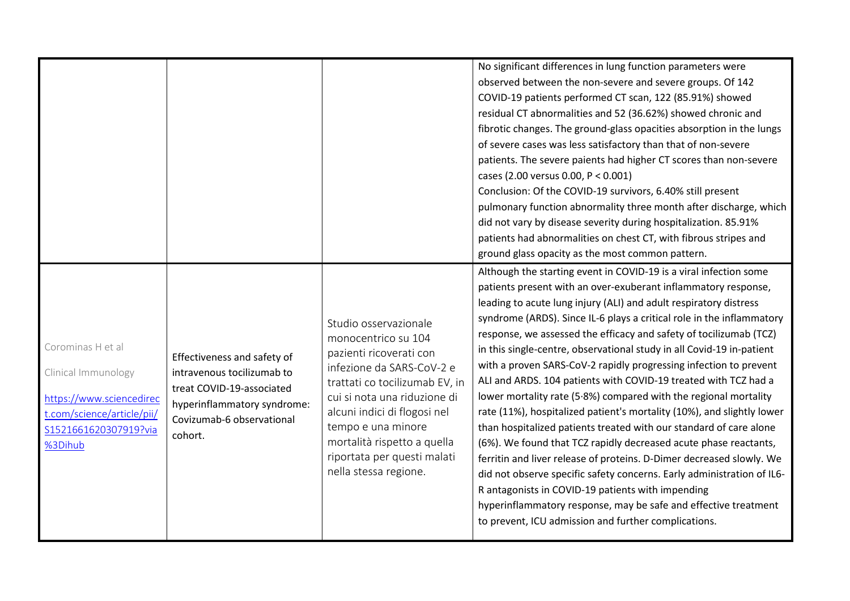|                                                                                                                                        |                                                                                                                                                               |                                                                                                                                                                                                                                                                                                                     | No significant differences in lung function parameters were<br>observed between the non-severe and severe groups. Of 142<br>COVID-19 patients performed CT scan, 122 (85.91%) showed<br>residual CT abnormalities and 52 (36.62%) showed chronic and<br>fibrotic changes. The ground-glass opacities absorption in the lungs<br>of severe cases was less satisfactory than that of non-severe<br>patients. The severe paients had higher CT scores than non-severe<br>cases (2.00 versus 0.00, P < 0.001)<br>Conclusion: Of the COVID-19 survivors, 6.40% still present<br>pulmonary function abnormality three month after discharge, which<br>did not vary by disease severity during hospitalization. 85.91%<br>patients had abnormalities on chest CT, with fibrous stripes and<br>ground glass opacity as the most common pattern.<br>Although the starting event in COVID-19 is a viral infection some                                                                                                                                                                                                                  |
|----------------------------------------------------------------------------------------------------------------------------------------|---------------------------------------------------------------------------------------------------------------------------------------------------------------|---------------------------------------------------------------------------------------------------------------------------------------------------------------------------------------------------------------------------------------------------------------------------------------------------------------------|-------------------------------------------------------------------------------------------------------------------------------------------------------------------------------------------------------------------------------------------------------------------------------------------------------------------------------------------------------------------------------------------------------------------------------------------------------------------------------------------------------------------------------------------------------------------------------------------------------------------------------------------------------------------------------------------------------------------------------------------------------------------------------------------------------------------------------------------------------------------------------------------------------------------------------------------------------------------------------------------------------------------------------------------------------------------------------------------------------------------------------|
| Corominas H et al<br>Clinical Immunology<br>https://www.sciencedirec<br>t.com/science/article/pii/<br>S1521661620307919?via<br>%3Dihub | Effectiveness and safety of<br>intravenous tocilizumab to<br>treat COVID-19-associated<br>hyperinflammatory syndrome:<br>Covizumab-6 observational<br>cohort. | Studio osservazionale<br>monocentrico su 104<br>pazienti ricoverati con<br>infezione da SARS-CoV-2 e<br>trattati co tocilizumab EV, in<br>cui si nota una riduzione di<br>alcuni indici di flogosi nel<br>tempo e una minore<br>mortalità rispetto a quella<br>riportata per questi malati<br>nella stessa regione. | patients present with an over-exuberant inflammatory response,<br>leading to acute lung injury (ALI) and adult respiratory distress<br>syndrome (ARDS). Since IL-6 plays a critical role in the inflammatory<br>response, we assessed the efficacy and safety of tocilizumab (TCZ)<br>in this single-centre, observational study in all Covid-19 in-patient<br>with a proven SARS-CoV-2 rapidly progressing infection to prevent<br>ALI and ARDS. 104 patients with COVID-19 treated with TCZ had a<br>lower mortality rate (5.8%) compared with the regional mortality<br>rate (11%), hospitalized patient's mortality (10%), and slightly lower<br>than hospitalized patients treated with our standard of care alone<br>(6%). We found that TCZ rapidly decreased acute phase reactants,<br>ferritin and liver release of proteins. D-Dimer decreased slowly. We<br>did not observe specific safety concerns. Early administration of IL6-<br>R antagonists in COVID-19 patients with impending<br>hyperinflammatory response, may be safe and effective treatment<br>to prevent, ICU admission and further complications. |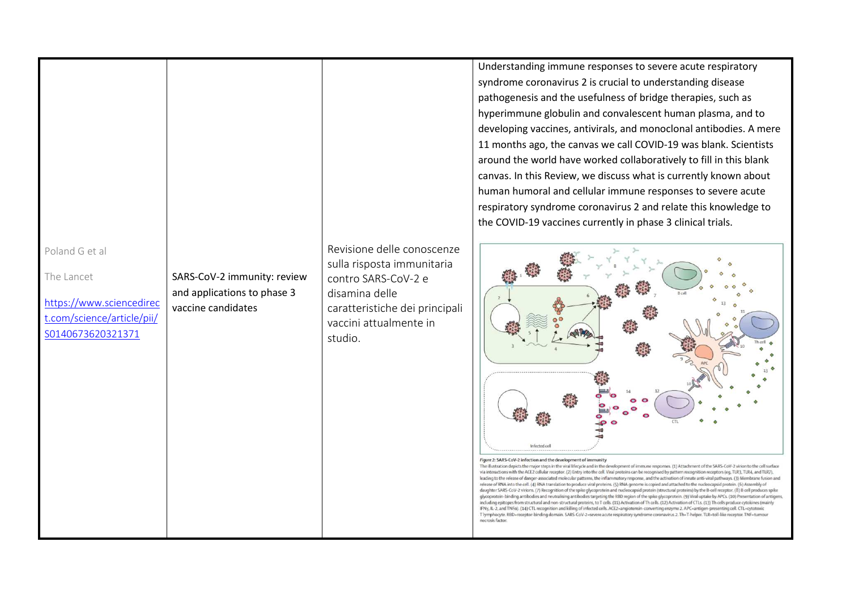|                                                                                                             |                                                                                  |                                                                                                                                                                          | Understanding immune respor<br>syndrome coronavirus 2 is cruc<br>pathogenesis and the usefulne<br>hyperimmune globulin and cor<br>developing vaccines, antivirals,<br>11 months ago, the canvas we<br>around the world have worked<br>canvas. In this Review, we disc<br>human humoral and cellular in<br>respiratory syndrome coronavi<br>the COVID-19 vaccines current                                                                                                                                                                                                                                                                                                                                                                                                                                                                                     |
|-------------------------------------------------------------------------------------------------------------|----------------------------------------------------------------------------------|--------------------------------------------------------------------------------------------------------------------------------------------------------------------------|--------------------------------------------------------------------------------------------------------------------------------------------------------------------------------------------------------------------------------------------------------------------------------------------------------------------------------------------------------------------------------------------------------------------------------------------------------------------------------------------------------------------------------------------------------------------------------------------------------------------------------------------------------------------------------------------------------------------------------------------------------------------------------------------------------------------------------------------------------------|
| Poland G et al<br>The Lancet<br>https://www.sciencedirec<br>t.com/science/article/pii/<br>S0140673620321371 | SARS-CoV-2 immunity: review<br>and applications to phase 3<br>vaccine candidates | Revisione delle conoscenze<br>sulla risposta immunitaria<br>contro SARS-CoV-2 e<br>disamina delle<br>caratteristiche dei principali<br>vaccini attualmente in<br>studio. | Infected cell<br>Figure 2: SARS-CoV-2 infection and the development of immunity<br>The illustration depicts the major steps in the viral lifecycle and in the develo<br>via interactions with the ACE2 cellular receptor. (2) Entry into the cell. Viral p<br>leading to the release of danger-associated molecular patterns, the inflamm<br>release of RNA into the cell. (4) RNA translation to produce viral proteins. (5<br>daughter SARS-CoV-2 virions. (7) Recognition of the spike glycoprotein and<br>glycoprotein-binding antibodies and neutralising antibodies targeting the F<br>including epitopes from structural and non-structural proteins, to T cells. (1)<br>IFNY, IL-2, and TNFa). (14) CTL recognition and killing of infected cells. ACE:<br>T lymphocyte. RBD=receptor-binding domain. SARS-CoV-2=severe acute re<br>necrosis factor. |

nses to severe acute respiratory cial to understanding disease ess of bridge therapies, such as nvalescent human plasma, and to and monoclonal antibodies. A mere call COVID-19 was blank. Scientists de collaboratively to fill in this blank cuss what is currently known about mmune responses to severe acute rirus 2 and relate this knowledge to ly in phase 3 clinical trials.



opment of immune responses. (1) Attachment of the SARS-CoV-2 virion to the cell surface proteins can be recognised by pattern recognition receptors (eg, TLR3, TLR4, and TLR7), atory response, and the activation of innate anti-viral pathways. (3) Membrane fusion and S) RNA genome is copied and attached to the nucleocapsid protein. (6) Assembly of nucleocapsid protein (structural proteins) by the B-cell receptor. (8) B cell produces spike RBD region of the spike glycoprotein. (9) Viral uptake by APCs. (10) Presentation of antigens, 1) Activation of Th cells. (12) Activation of CTLs. (13) Th cells produce cytokines (mainly .<br>2=angiotensin-converting enzyme 2. APC=antigen-presenting cell. CTL=cytotoxic<br>spiratory syndrome coronavirus 2. Th=T-helper. TLR=toll-like receptor. TNF=tumour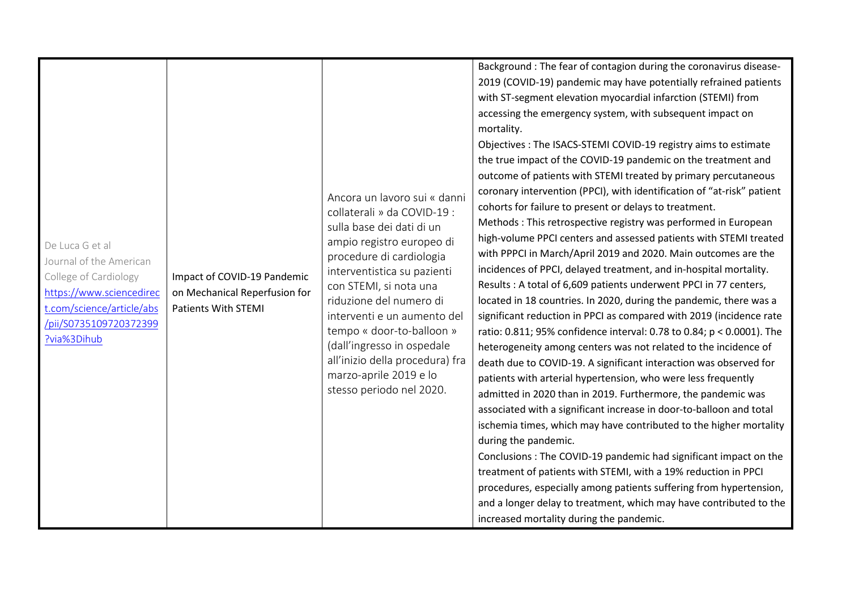| and a longer delay to treatment, which may have contributed to the | De Luca G et al<br>Journal of the American<br>College of Cardiology<br>https://www.sciencedirec<br>t.com/science/article/abs<br>/pii/S0735109720372399<br>?via%3Dihub | Impact of COVID-19 Pandemic<br>on Mechanical Reperfusion for<br><b>Patients With STEMI</b> | Ancora un lavoro sui « danni<br>collaterali » da COVID-19 :<br>sulla base dei dati di un<br>ampio registro europeo di<br>procedure di cardiologia<br>interventistica su pazienti<br>con STEMI, si nota una<br>riduzione del numero di<br>interventi e un aumento del<br>tempo « door-to-balloon »<br>(dall'ingresso in ospedale<br>all'inizio della procedura) fra<br>marzo-aprile 2019 e lo<br>stesso periodo nel 2020. | Background : The fear of contagion during the coronavirus disease-<br>2019 (COVID-19) pandemic may have potentially refrained patients<br>with ST-segment elevation myocardial infarction (STEMI) from<br>accessing the emergency system, with subsequent impact on<br>mortality.<br>Objectives: The ISACS-STEMI COVID-19 registry aims to estimate<br>the true impact of the COVID-19 pandemic on the treatment and<br>outcome of patients with STEMI treated by primary percutaneous<br>coronary intervention (PPCI), with identification of "at-risk" patient<br>cohorts for failure to present or delays to treatment.<br>Methods: This retrospective registry was performed in European<br>high-volume PPCI centers and assessed patients with STEMI treated<br>with PPPCI in March/April 2019 and 2020. Main outcomes are the<br>incidences of PPCI, delayed treatment, and in-hospital mortality.<br>Results: A total of 6,609 patients underwent PPCI in 77 centers,<br>located in 18 countries. In 2020, during the pandemic, there was a<br>significant reduction in PPCI as compared with 2019 (incidence rate<br>ratio: 0.811; 95% confidence interval: 0.78 to 0.84; p < 0.0001). The<br>heterogeneity among centers was not related to the incidence of<br>death due to COVID-19. A significant interaction was observed for<br>patients with arterial hypertension, who were less frequently<br>admitted in 2020 than in 2019. Furthermore, the pandemic was<br>associated with a significant increase in door-to-balloon and total<br>ischemia times, which may have contributed to the higher mortality<br>during the pandemic.<br>Conclusions: The COVID-19 pandemic had significant impact on the<br>treatment of patients with STEMI, with a 19% reduction in PPCI |
|--------------------------------------------------------------------|-----------------------------------------------------------------------------------------------------------------------------------------------------------------------|--------------------------------------------------------------------------------------------|--------------------------------------------------------------------------------------------------------------------------------------------------------------------------------------------------------------------------------------------------------------------------------------------------------------------------------------------------------------------------------------------------------------------------|----------------------------------------------------------------------------------------------------------------------------------------------------------------------------------------------------------------------------------------------------------------------------------------------------------------------------------------------------------------------------------------------------------------------------------------------------------------------------------------------------------------------------------------------------------------------------------------------------------------------------------------------------------------------------------------------------------------------------------------------------------------------------------------------------------------------------------------------------------------------------------------------------------------------------------------------------------------------------------------------------------------------------------------------------------------------------------------------------------------------------------------------------------------------------------------------------------------------------------------------------------------------------------------------------------------------------------------------------------------------------------------------------------------------------------------------------------------------------------------------------------------------------------------------------------------------------------------------------------------------------------------------------------------------------------------------------------------------------------------------------------------------------------------|
| procedures, especially among patients suffering from hypertension, |                                                                                                                                                                       |                                                                                            |                                                                                                                                                                                                                                                                                                                                                                                                                          |                                                                                                                                                                                                                                                                                                                                                                                                                                                                                                                                                                                                                                                                                                                                                                                                                                                                                                                                                                                                                                                                                                                                                                                                                                                                                                                                                                                                                                                                                                                                                                                                                                                                                                                                                                                        |
|                                                                    |                                                                                                                                                                       |                                                                                            |                                                                                                                                                                                                                                                                                                                                                                                                                          |                                                                                                                                                                                                                                                                                                                                                                                                                                                                                                                                                                                                                                                                                                                                                                                                                                                                                                                                                                                                                                                                                                                                                                                                                                                                                                                                                                                                                                                                                                                                                                                                                                                                                                                                                                                        |
|                                                                    |                                                                                                                                                                       |                                                                                            |                                                                                                                                                                                                                                                                                                                                                                                                                          |                                                                                                                                                                                                                                                                                                                                                                                                                                                                                                                                                                                                                                                                                                                                                                                                                                                                                                                                                                                                                                                                                                                                                                                                                                                                                                                                                                                                                                                                                                                                                                                                                                                                                                                                                                                        |
|                                                                    |                                                                                                                                                                       |                                                                                            |                                                                                                                                                                                                                                                                                                                                                                                                                          |                                                                                                                                                                                                                                                                                                                                                                                                                                                                                                                                                                                                                                                                                                                                                                                                                                                                                                                                                                                                                                                                                                                                                                                                                                                                                                                                                                                                                                                                                                                                                                                                                                                                                                                                                                                        |
|                                                                    |                                                                                                                                                                       |                                                                                            |                                                                                                                                                                                                                                                                                                                                                                                                                          | increased mortality during the pandemic.                                                                                                                                                                                                                                                                                                                                                                                                                                                                                                                                                                                                                                                                                                                                                                                                                                                                                                                                                                                                                                                                                                                                                                                                                                                                                                                                                                                                                                                                                                                                                                                                                                                                                                                                               |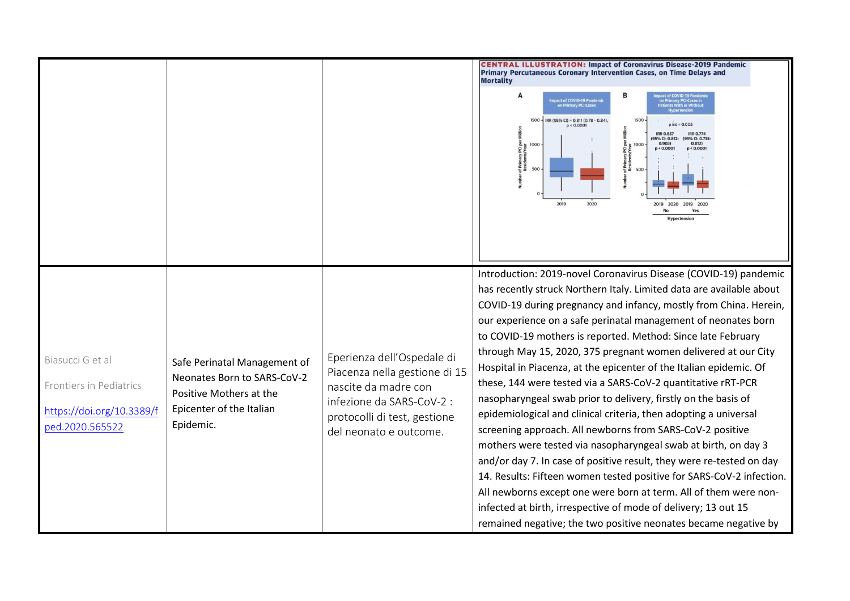|                                                                                             |                                                                                                                                 |                                                                                                                                                                            | <b>CENTRAL ILLUSTRATION: Impact of Coronavirus Disease-2019 Pandemic</b><br>Primary Percutaneous Coronary Intervention Cases, on Time Delays and<br><b>Mortality</b><br>A<br>1 Primary PCI Cases in<br>pact of COVID-19 Pand<br>on Primary PCI Cases<br>th or W<br>$1500 -$<br>IRR (95% CI) = 0.811 (0.78 - 0.84),<br>$p int = 0.005$<br>p < 0.0001<br><b>IRR 0.857</b><br><b>IRR 0.774</b><br>(95% Cl: 0.812- (95% Cl: 0.735-<br>0.903)<br>0.812)<br>1000<br>1000<br>of Primary PCI<br>Residents/Yea<br>p < 0.000<br>p < 0.000<br>500<br>500<br>2019<br>2020<br>2020                                                                                                                                                                                                                                                                                                                                                                                                                                                                                                                                                                                                                 |
|---------------------------------------------------------------------------------------------|---------------------------------------------------------------------------------------------------------------------------------|----------------------------------------------------------------------------------------------------------------------------------------------------------------------------|---------------------------------------------------------------------------------------------------------------------------------------------------------------------------------------------------------------------------------------------------------------------------------------------------------------------------------------------------------------------------------------------------------------------------------------------------------------------------------------------------------------------------------------------------------------------------------------------------------------------------------------------------------------------------------------------------------------------------------------------------------------------------------------------------------------------------------------------------------------------------------------------------------------------------------------------------------------------------------------------------------------------------------------------------------------------------------------------------------------------------------------------------------------------------------------|
| Biasucci G et al<br>Frontiers in Pediatrics<br>https://doi.org/10.3389/f<br>ped.2020.565522 | Safe Perinatal Management of<br>Neonates Born to SARS-CoV-2<br>Positive Mothers at the<br>Epicenter of the Italian<br>Epidemic. | Eperienza dell'Ospedale di<br>Piacenza nella gestione di 15<br>nascite da madre con<br>infezione da SARS-CoV-2 :<br>protocolli di test, gestione<br>del neonato e outcome. | Introduction: 2019-novel Coronavirus Disease (COVID-19) pandemic<br>has recently struck Northern Italy. Limited data are available about<br>COVID-19 during pregnancy and infancy, mostly from China. Herein,<br>our experience on a safe perinatal management of neonates born<br>to COVID-19 mothers is reported. Method: Since late February<br>through May 15, 2020, 375 pregnant women delivered at our City<br>Hospital in Piacenza, at the epicenter of the Italian epidemic. Of<br>these, 144 were tested via a SARS-CoV-2 quantitative rRT-PCR<br>nasopharyngeal swab prior to delivery, firstly on the basis of<br>epidemiological and clinical criteria, then adopting a universal<br>screening approach. All newborns from SARS-CoV-2 positive<br>mothers were tested via nasopharyngeal swab at birth, on day 3<br>and/or day 7. In case of positive result, they were re-tested on day<br>14. Results: Fifteen women tested positive for SARS-CoV-2 infection.<br>All newborns except one were born at term. All of them were non-<br>infected at birth, irrespective of mode of delivery; 13 out 15<br>remained negative; the two positive neonates became negative by |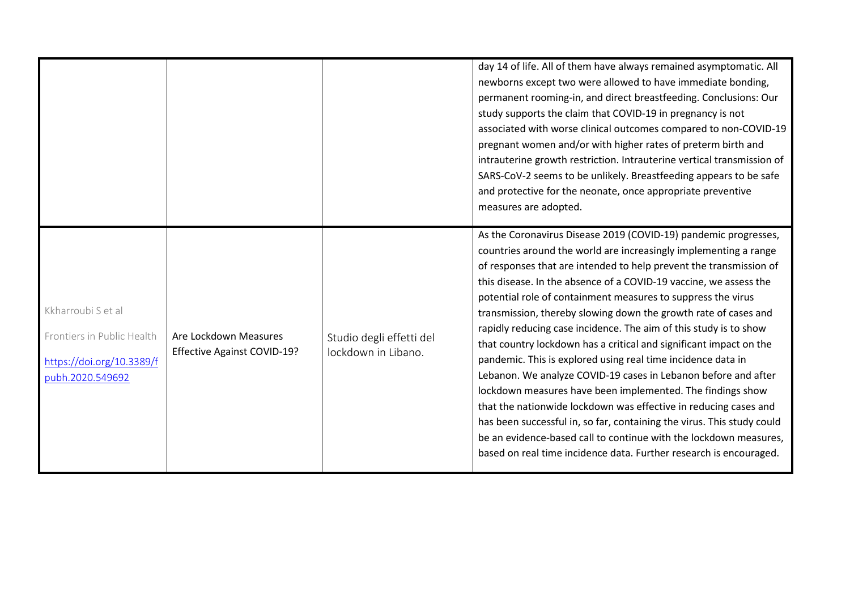|                                                                                                                                                                  |                                                 | day 14 of life. All of them have always remained asymptomatic. All<br>newborns except two were allowed to have immediate bonding,<br>permanent rooming-in, and direct breastfeeding. Conclusions: Our<br>study supports the claim that COVID-19 in pregnancy is not<br>associated with worse clinical outcomes compared to non-COVID-19<br>pregnant women and/or with higher rates of preterm birth and<br>intrauterine growth restriction. Intrauterine vertical transmission of<br>SARS-CoV-2 seems to be unlikely. Breastfeeding appears to be safe<br>and protective for the neonate, once appropriate preventive<br>measures are adopted.                                                                                                                                                                                                                                                                                                                                                                                                        |
|------------------------------------------------------------------------------------------------------------------------------------------------------------------|-------------------------------------------------|-------------------------------------------------------------------------------------------------------------------------------------------------------------------------------------------------------------------------------------------------------------------------------------------------------------------------------------------------------------------------------------------------------------------------------------------------------------------------------------------------------------------------------------------------------------------------------------------------------------------------------------------------------------------------------------------------------------------------------------------------------------------------------------------------------------------------------------------------------------------------------------------------------------------------------------------------------------------------------------------------------------------------------------------------------|
| Kkharroubi S et al<br>Are Lockdown Measures<br>Frontiers in Public Health<br><b>Effective Against COVID-19?</b><br>https://doi.org/10.3389/f<br>pubh.2020.549692 | Studio degli effetti del<br>lockdown in Libano. | As the Coronavirus Disease 2019 (COVID-19) pandemic progresses,<br>countries around the world are increasingly implementing a range<br>of responses that are intended to help prevent the transmission of<br>this disease. In the absence of a COVID-19 vaccine, we assess the<br>potential role of containment measures to suppress the virus<br>transmission, thereby slowing down the growth rate of cases and<br>rapidly reducing case incidence. The aim of this study is to show<br>that country lockdown has a critical and significant impact on the<br>pandemic. This is explored using real time incidence data in<br>Lebanon. We analyze COVID-19 cases in Lebanon before and after<br>lockdown measures have been implemented. The findings show<br>that the nationwide lockdown was effective in reducing cases and<br>has been successful in, so far, containing the virus. This study could<br>be an evidence-based call to continue with the lockdown measures,<br>based on real time incidence data. Further research is encouraged. |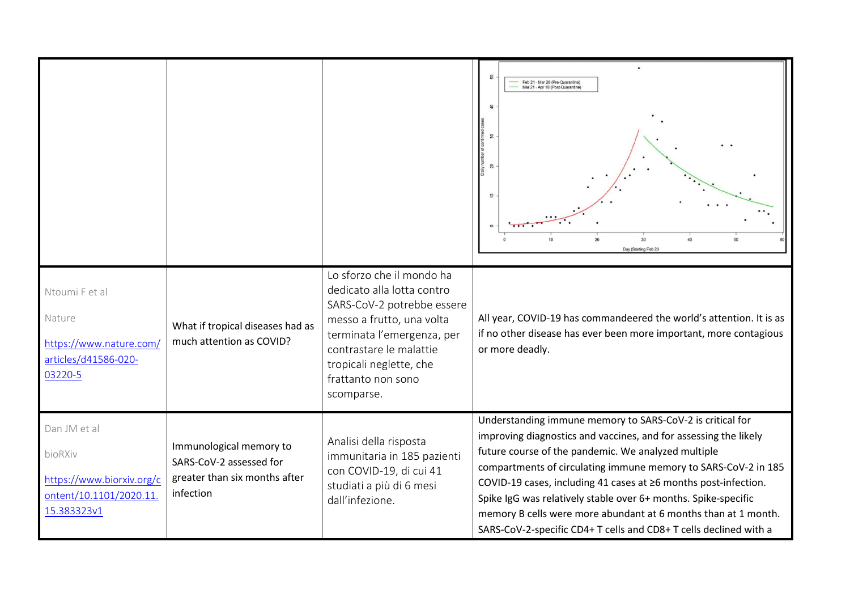|                                                                                                |                                                                                                  |                                                                                                                                                                                                                                            | $\Omega$<br>Feb 21 - Mar 20 (Pre-Quarantine)<br>Mar 21 - Apr 18 (Post-Quarantine)<br>$\mathfrak{D}$<br>$\overline{20}$<br>30 <sup>°</sup><br>20<br>50<br>Day (Starting Feb 23                                                                                                                                                                                                                                                                                                                                                      |
|------------------------------------------------------------------------------------------------|--------------------------------------------------------------------------------------------------|--------------------------------------------------------------------------------------------------------------------------------------------------------------------------------------------------------------------------------------------|------------------------------------------------------------------------------------------------------------------------------------------------------------------------------------------------------------------------------------------------------------------------------------------------------------------------------------------------------------------------------------------------------------------------------------------------------------------------------------------------------------------------------------|
| Ntoumi F et al<br>Nature<br>https://www.nature.com/<br>articles/d41586-020-<br>03220-5         | What if tropical diseases had as<br>much attention as COVID?                                     | Lo sforzo che il mondo ha<br>dedicato alla lotta contro<br>SARS-CoV-2 potrebbe essere<br>messo a frutto, una volta<br>terminata l'emergenza, per<br>contrastare le malattie<br>tropicali neglette, che<br>frattanto non sono<br>scomparse. | All year, COVID-19 has commandeered the world's attention. It is as<br>if no other disease has ever been more important, more contagious<br>or more deadly.                                                                                                                                                                                                                                                                                                                                                                        |
| Dan JM et al<br>bioRXiv<br>https://www.biorxiv.org/c<br>ontent/10.1101/2020.11.<br>15.383323v1 | Immunological memory to<br>SARS-CoV-2 assessed for<br>greater than six months after<br>infection | Analisi della risposta<br>immunitaria in 185 pazienti<br>con COVID-19, di cui 41<br>studiati a più di 6 mesi<br>dall'infezione.                                                                                                            | Understanding immune memory to SARS-CoV-2 is critical for<br>improving diagnostics and vaccines, and for assessing the likely<br>future course of the pandemic. We analyzed multiple<br>compartments of circulating immune memory to SARS-CoV-2 in 185<br>COVID-19 cases, including 41 cases at ≥6 months post-infection.<br>Spike IgG was relatively stable over 6+ months. Spike-specific<br>memory B cells were more abundant at 6 months than at 1 month.<br>SARS-CoV-2-specific CD4+ T cells and CD8+ T cells declined with a |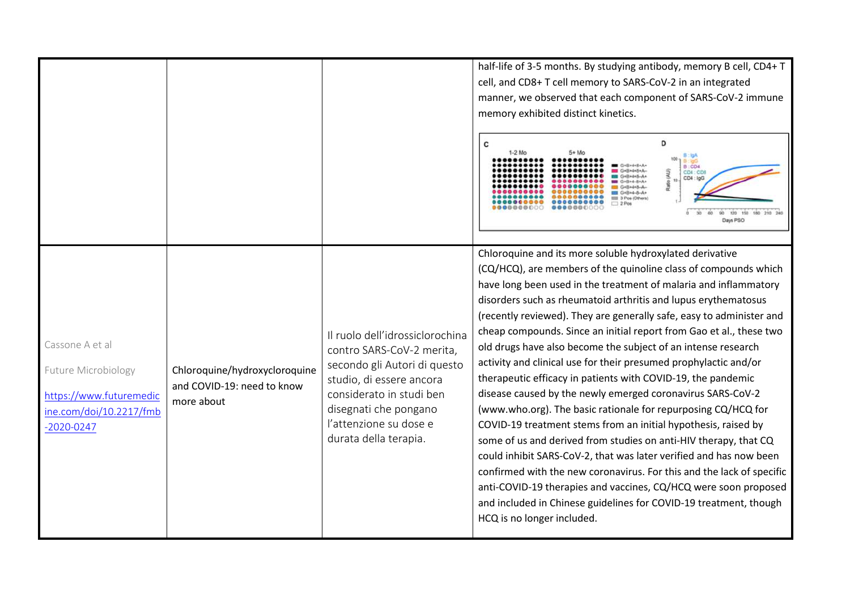|                                                                                                                |                                                                           |                                                                                                                                                                                                                                  | half-life of 3-5 months. By studying antibody, memory B cell, CD4+ T<br>cell, and CD8+ T cell memory to SARS-CoV-2 in an integrated<br>manner, we observed that each component of SARS-CoV-2 immune<br>memory exhibited distinct kinetics.<br>D<br>С<br>B:CO4<br>CD4:CD1<br>CD4: IgG<br>$10 -$<br>G+B+4-8+A+<br>G4B+4+8-A<br>$G + B + 4 - 8 - A +$<br>000 3 Pos (Others)<br>120 150 180 210 240<br>Days PSO                                                                                                                                                                                                                                                                                                                                                                                                                                                                                                                                                                                                                                                                                                                                                                                                     |
|----------------------------------------------------------------------------------------------------------------|---------------------------------------------------------------------------|----------------------------------------------------------------------------------------------------------------------------------------------------------------------------------------------------------------------------------|-----------------------------------------------------------------------------------------------------------------------------------------------------------------------------------------------------------------------------------------------------------------------------------------------------------------------------------------------------------------------------------------------------------------------------------------------------------------------------------------------------------------------------------------------------------------------------------------------------------------------------------------------------------------------------------------------------------------------------------------------------------------------------------------------------------------------------------------------------------------------------------------------------------------------------------------------------------------------------------------------------------------------------------------------------------------------------------------------------------------------------------------------------------------------------------------------------------------|
| Cassone A et al<br>Future Microbiology<br>https://www.futuremedic<br>ine.com/doi/10.2217/fmb<br>$-2020 - 0247$ | Chloroquine/hydroxycloroquine<br>and COVID-19: need to know<br>more about | Il ruolo dell'idrossiclorochina<br>contro SARS-CoV-2 merita,<br>secondo gli Autori di questo<br>studio, di essere ancora<br>considerato in studi ben<br>disegnati che pongano<br>l'attenzione su dose e<br>durata della terapia. | Chloroquine and its more soluble hydroxylated derivative<br>(CQ/HCQ), are members of the quinoline class of compounds which<br>have long been used in the treatment of malaria and inflammatory<br>disorders such as rheumatoid arthritis and lupus erythematosus<br>(recently reviewed). They are generally safe, easy to administer and<br>cheap compounds. Since an initial report from Gao et al., these two<br>old drugs have also become the subject of an intense research<br>activity and clinical use for their presumed prophylactic and/or<br>therapeutic efficacy in patients with COVID-19, the pandemic<br>disease caused by the newly emerged coronavirus SARS-CoV-2<br>(www.who.org). The basic rationale for repurposing CQ/HCQ for<br>COVID-19 treatment stems from an initial hypothesis, raised by<br>some of us and derived from studies on anti-HIV therapy, that CQ<br>could inhibit SARS-CoV-2, that was later verified and has now been<br>confirmed with the new coronavirus. For this and the lack of specific<br>anti-COVID-19 therapies and vaccines, CQ/HCQ were soon proposed<br>and included in Chinese guidelines for COVID-19 treatment, though<br>HCQ is no longer included. |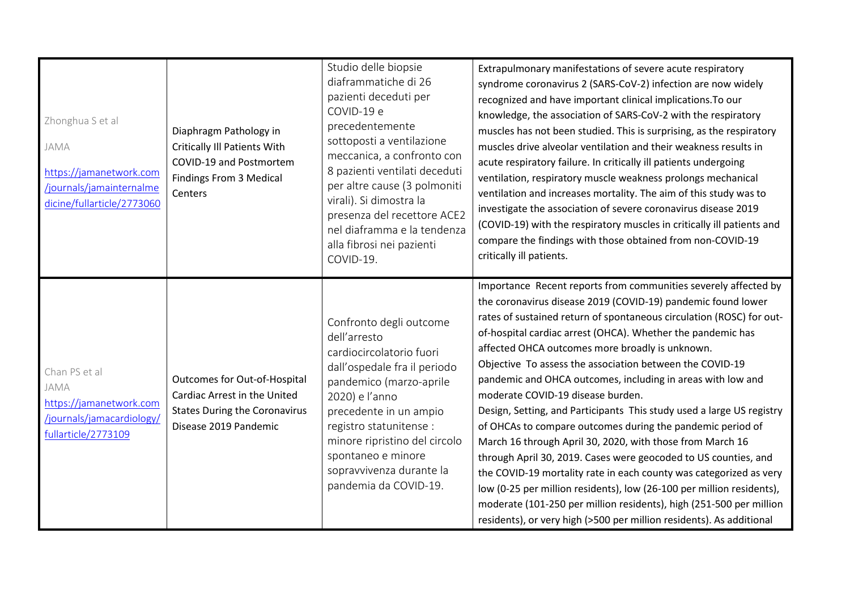| Zhonghua S et al<br>JAMA<br>https://jamanetwork.com<br>/journals/jamainternalme<br>dicine/fullarticle/2773060 | Diaphragm Pathology in<br><b>Critically III Patients With</b><br>COVID-19 and Postmortem<br>Findings From 3 Medical<br>Centers | Studio delle biopsie<br>diaframmatiche di 26<br>pazienti deceduti per<br>COVID-19 e<br>precedentemente<br>sottoposti a ventilazione<br>meccanica, a confronto con<br>8 pazienti ventilati deceduti<br>per altre cause (3 polmoniti<br>virali). Si dimostra la<br>presenza del recettore ACE2<br>nel diaframma e la tendenza<br>alla fibrosi nei pazienti<br>COVID-19. | Extrapulmonary manifestations of severe acute respiratory<br>syndrome coronavirus 2 (SARS-CoV-2) infection are now widely<br>recognized and have important clinical implications. To our<br>knowledge, the association of SARS-CoV-2 with the respiratory<br>muscles has not been studied. This is surprising, as the respiratory<br>muscles drive alveolar ventilation and their weakness results in<br>acute respiratory failure. In critically ill patients undergoing<br>ventilation, respiratory muscle weakness prolongs mechanical<br>ventilation and increases mortality. The aim of this study was to<br>investigate the association of severe coronavirus disease 2019<br>(COVID-19) with the respiratory muscles in critically ill patients and<br>compare the findings with those obtained from non-COVID-19<br>critically ill patients.                                                                                                                                                                                                           |
|---------------------------------------------------------------------------------------------------------------|--------------------------------------------------------------------------------------------------------------------------------|-----------------------------------------------------------------------------------------------------------------------------------------------------------------------------------------------------------------------------------------------------------------------------------------------------------------------------------------------------------------------|----------------------------------------------------------------------------------------------------------------------------------------------------------------------------------------------------------------------------------------------------------------------------------------------------------------------------------------------------------------------------------------------------------------------------------------------------------------------------------------------------------------------------------------------------------------------------------------------------------------------------------------------------------------------------------------------------------------------------------------------------------------------------------------------------------------------------------------------------------------------------------------------------------------------------------------------------------------------------------------------------------------------------------------------------------------|
| Chan PS et al<br>JAMA<br>https://jamanetwork.com<br>/journals/jamacardiology/<br>fullarticle/2773109          | Outcomes for Out-of-Hospital<br>Cardiac Arrest in the United<br><b>States During the Coronavirus</b><br>Disease 2019 Pandemic  | Confronto degli outcome<br>dell'arresto<br>cardiocircolatorio fuori<br>dall'ospedale fra il periodo<br>pandemico (marzo-aprile<br>2020) e l'anno<br>precedente in un ampio<br>registro statunitense :<br>minore ripristino del circolo<br>spontaneo e minore<br>sopravvivenza durante la<br>pandemia da COVID-19.                                                     | Importance Recent reports from communities severely affected by<br>the coronavirus disease 2019 (COVID-19) pandemic found lower<br>rates of sustained return of spontaneous circulation (ROSC) for out-<br>of-hospital cardiac arrest (OHCA). Whether the pandemic has<br>affected OHCA outcomes more broadly is unknown.<br>Objective To assess the association between the COVID-19<br>pandemic and OHCA outcomes, including in areas with low and<br>moderate COVID-19 disease burden.<br>Design, Setting, and Participants This study used a large US registry<br>of OHCAs to compare outcomes during the pandemic period of<br>March 16 through April 30, 2020, with those from March 16<br>through April 30, 2019. Cases were geocoded to US counties, and<br>the COVID-19 mortality rate in each county was categorized as very<br>low (0-25 per million residents), low (26-100 per million residents),<br>moderate (101-250 per million residents), high (251-500 per million<br>residents), or very high (>500 per million residents). As additional |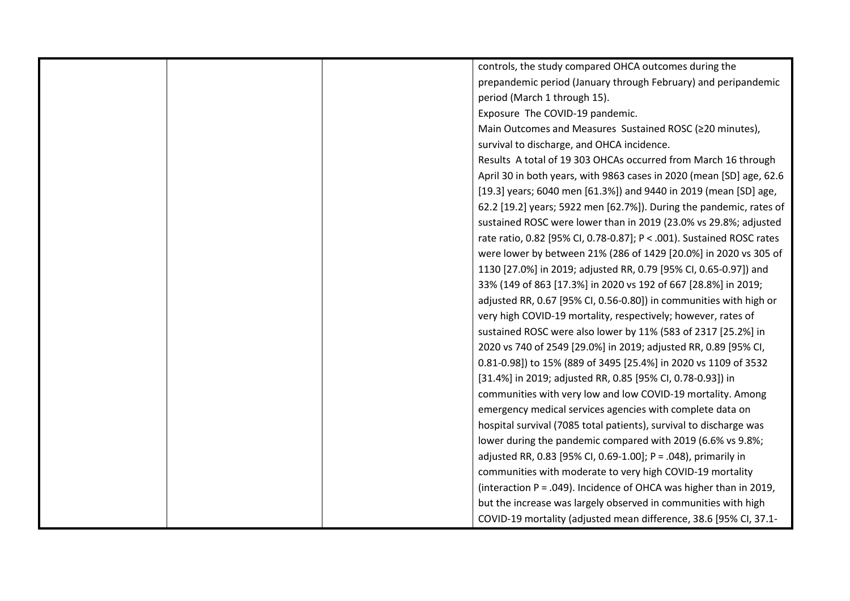| controls, the study compared OHCA outcomes during the                 |
|-----------------------------------------------------------------------|
| prepandemic period (January through February) and peripandemic        |
| period (March 1 through 15).                                          |
| Exposure The COVID-19 pandemic.                                       |
| Main Outcomes and Measures Sustained ROSC (≥20 minutes),              |
| survival to discharge, and OHCA incidence.                            |
| Results A total of 19 303 OHCAs occurred from March 16 through        |
| April 30 in both years, with 9863 cases in 2020 (mean [SD] age, 62.6  |
| [19.3] years; 6040 men [61.3%]) and 9440 in 2019 (mean [SD] age,      |
| 62.2 [19.2] years; 5922 men [62.7%]). During the pandemic, rates of   |
| sustained ROSC were lower than in 2019 (23.0% vs 29.8%; adjusted      |
| rate ratio, 0.82 [95% CI, 0.78-0.87]; P < .001). Sustained ROSC rates |
| were lower by between 21% (286 of 1429 [20.0%] in 2020 vs 305 of      |
| 1130 [27.0%] in 2019; adjusted RR, 0.79 [95% CI, 0.65-0.97]) and      |
| 33% (149 of 863 [17.3%] in 2020 vs 192 of 667 [28.8%] in 2019;        |
| adjusted RR, 0.67 [95% CI, 0.56-0.80]) in communities with high or    |
| very high COVID-19 mortality, respectively; however, rates of         |
| sustained ROSC were also lower by 11% (583 of 2317 [25.2%] in         |
| 2020 vs 740 of 2549 [29.0%] in 2019; adjusted RR, 0.89 [95% CI,       |
| 0.81-0.98]) to 15% (889 of 3495 [25.4%] in 2020 vs 1109 of 3532       |
| [31.4%] in 2019; adjusted RR, 0.85 [95% CI, 0.78-0.93]) in            |
| communities with very low and low COVID-19 mortality. Among           |
| emergency medical services agencies with complete data on             |
| hospital survival (7085 total patients), survival to discharge was    |
| lower during the pandemic compared with 2019 (6.6% vs 9.8%;           |
| adjusted RR, 0.83 [95% CI, 0.69-1.00]; P = .048), primarily in        |
| communities with moderate to very high COVID-19 mortality             |
| (interaction P = .049). Incidence of OHCA was higher than in 2019,    |
| but the increase was largely observed in communities with high        |
| COVID-19 mortality (adjusted mean difference, 38.6 [95% CI, 37.1-     |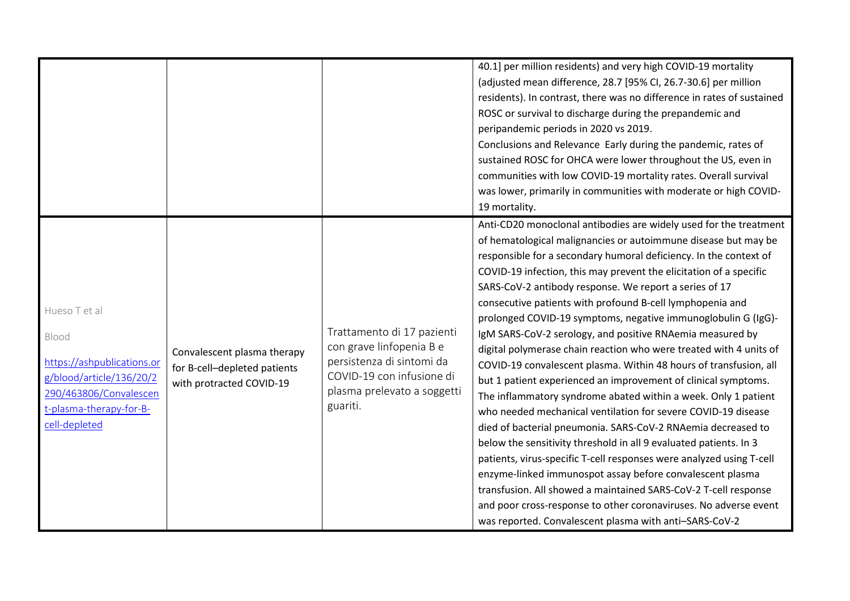|                                                                                                                                                        |                                                                                         |                                                                                                                                                             | 40.1] per million residents) and very high COVID-19 mortality<br>(adjusted mean difference, 28.7 [95% CI, 26.7-30.6] per million<br>residents). In contrast, there was no difference in rates of sustained<br>ROSC or survival to discharge during the prepandemic and<br>peripandemic periods in 2020 vs 2019.<br>Conclusions and Relevance Early during the pandemic, rates of<br>sustained ROSC for OHCA were lower throughout the US, even in<br>communities with low COVID-19 mortality rates. Overall survival<br>was lower, primarily in communities with moderate or high COVID-<br>19 mortality.                                                                                                                                                                                                                                                                                                                                                                                                                                                                                                                                                                                                                                                                                                                                                      |
|--------------------------------------------------------------------------------------------------------------------------------------------------------|-----------------------------------------------------------------------------------------|-------------------------------------------------------------------------------------------------------------------------------------------------------------|----------------------------------------------------------------------------------------------------------------------------------------------------------------------------------------------------------------------------------------------------------------------------------------------------------------------------------------------------------------------------------------------------------------------------------------------------------------------------------------------------------------------------------------------------------------------------------------------------------------------------------------------------------------------------------------------------------------------------------------------------------------------------------------------------------------------------------------------------------------------------------------------------------------------------------------------------------------------------------------------------------------------------------------------------------------------------------------------------------------------------------------------------------------------------------------------------------------------------------------------------------------------------------------------------------------------------------------------------------------|
| Hueso T et al<br>Blood<br>https://ashpublications.or<br>g/blood/article/136/20/2<br>290/463806/Convalescen<br>t-plasma-therapy-for-B-<br>cell-depleted | Convalescent plasma therapy<br>for B-cell-depleted patients<br>with protracted COVID-19 | Trattamento di 17 pazienti<br>con grave linfopenia B e<br>persistenza di sintomi da<br>COVID-19 con infusione di<br>plasma prelevato a soggetti<br>guariti. | Anti-CD20 monoclonal antibodies are widely used for the treatment<br>of hematological malignancies or autoimmune disease but may be<br>responsible for a secondary humoral deficiency. In the context of<br>COVID-19 infection, this may prevent the elicitation of a specific<br>SARS-CoV-2 antibody response. We report a series of 17<br>consecutive patients with profound B-cell lymphopenia and<br>prolonged COVID-19 symptoms, negative immunoglobulin G (IgG)-<br>IgM SARS-CoV-2 serology, and positive RNAemia measured by<br>digital polymerase chain reaction who were treated with 4 units of<br>COVID-19 convalescent plasma. Within 48 hours of transfusion, all<br>but 1 patient experienced an improvement of clinical symptoms.<br>The inflammatory syndrome abated within a week. Only 1 patient<br>who needed mechanical ventilation for severe COVID-19 disease<br>died of bacterial pneumonia. SARS-CoV-2 RNAemia decreased to<br>below the sensitivity threshold in all 9 evaluated patients. In 3<br>patients, virus-specific T-cell responses were analyzed using T-cell<br>enzyme-linked immunospot assay before convalescent plasma<br>transfusion. All showed a maintained SARS-CoV-2 T-cell response<br>and poor cross-response to other coronaviruses. No adverse event<br>was reported. Convalescent plasma with anti-SARS-CoV-2 |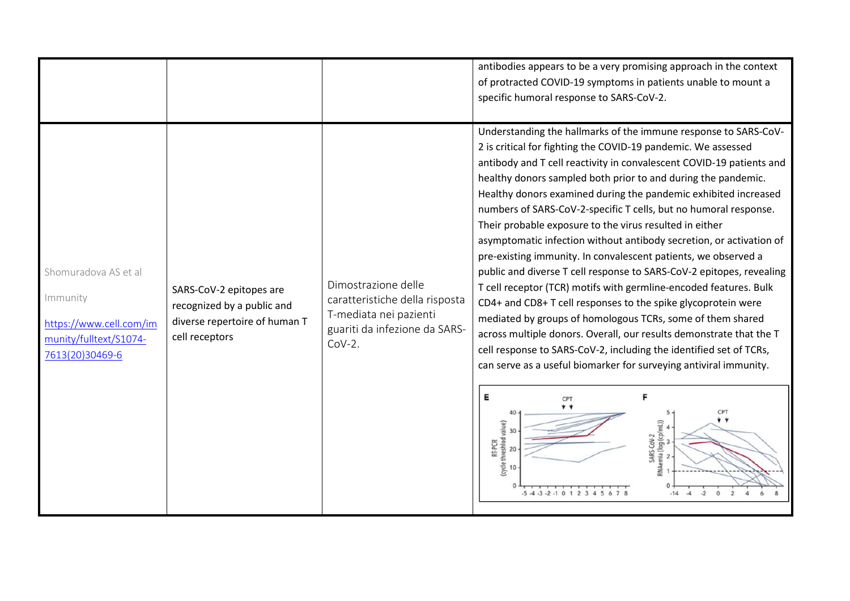|                                                                                                          |                                                                                                          |                                                                                                                              | antibodies appears to be a very promising approach in the context<br>of protracted COVID-19 symptoms in patients unable to mount a<br>specific humoral response to SARS-CoV-2.                                                                                                                                                                                                                                                                                                                                                                                                                                                                                                                                                                                                                                                                                                                                                                                                                                                                                                                                                                                                                                                                                                |
|----------------------------------------------------------------------------------------------------------|----------------------------------------------------------------------------------------------------------|------------------------------------------------------------------------------------------------------------------------------|-------------------------------------------------------------------------------------------------------------------------------------------------------------------------------------------------------------------------------------------------------------------------------------------------------------------------------------------------------------------------------------------------------------------------------------------------------------------------------------------------------------------------------------------------------------------------------------------------------------------------------------------------------------------------------------------------------------------------------------------------------------------------------------------------------------------------------------------------------------------------------------------------------------------------------------------------------------------------------------------------------------------------------------------------------------------------------------------------------------------------------------------------------------------------------------------------------------------------------------------------------------------------------|
| Shomuradova AS et al<br>Immunity<br>https://www.cell.com/im<br>munity/fulltext/S1074-<br>7613(20)30469-6 | SARS-CoV-2 epitopes are<br>recognized by a public and<br>diverse repertoire of human T<br>cell receptors | Dimostrazione delle<br>caratteristiche della risposta<br>T-mediata nei pazienti<br>guariti da infezione da SARS-<br>$COV-2.$ | Understanding the hallmarks of the immune response to SARS-CoV-<br>2 is critical for fighting the COVID-19 pandemic. We assessed<br>antibody and T cell reactivity in convalescent COVID-19 patients and<br>healthy donors sampled both prior to and during the pandemic.<br>Healthy donors examined during the pandemic exhibited increased<br>numbers of SARS-CoV-2-specific T cells, but no humoral response.<br>Their probable exposure to the virus resulted in either<br>asymptomatic infection without antibody secretion, or activation of<br>pre-existing immunity. In convalescent patients, we observed a<br>public and diverse T cell response to SARS-CoV-2 epitopes, revealing<br>T cell receptor (TCR) motifs with germline-encoded features. Bulk<br>CD4+ and CD8+ T cell responses to the spike glycoprotein were<br>mediated by groups of homologous TCRs, some of them shared<br>across multiple donors. Overall, our results demonstrate that the T<br>cell response to SARS-CoV-2, including the identified set of TCRs,<br>can serve as a useful biomarker for surveying antiviral immunity.<br>Е<br>F<br>CPT<br>* *<br>40<br>RT-PCR<br>(cycle threshlod value)<br>SARS-CoV-2<br>RNAemia (log (cp/mL))<br>- 2<br>- 2<br>30<br>20<br>10<br>$-14$<br>$-2$ |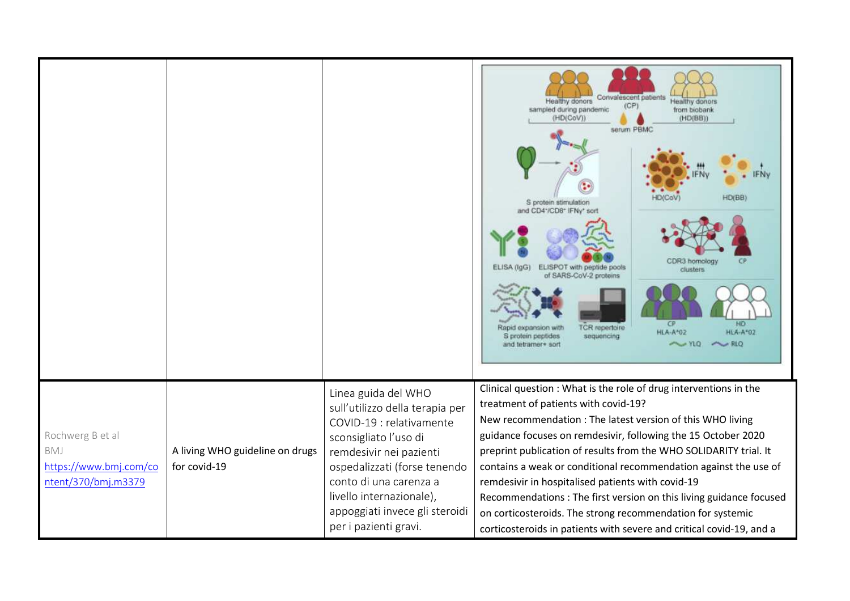|                                                                          |                                                 |                                                                                                                                                                                                                                                                                         | Convalescent patients<br>Healthy donors<br>lealthy donors<br>(CP)<br>sampled during pandemic<br>from biobank<br>(HD(CoV))<br>(HD(BB))<br>serum PBMC<br><b>HD(CoV</b><br>HD(BB)<br>S protein stimulation<br>and CD4*/CD8* IFNy* sort<br>CDR3 homology<br>ELISA (IgG)<br>ELISPOT with peptide pools<br>clusters<br>of SARS-CoV-2 proteins<br>CP.<br>HD<br>TCR repertoire<br>Rapid expansion with<br><b>HLA-A*02</b><br><b>HLA-A*02</b><br>S protein peptides<br>sequencing<br>$\sim$ RLQ<br>$\sim$ YLO<br>and tetramer+ sort                                                                                                                          |
|--------------------------------------------------------------------------|-------------------------------------------------|-----------------------------------------------------------------------------------------------------------------------------------------------------------------------------------------------------------------------------------------------------------------------------------------|-----------------------------------------------------------------------------------------------------------------------------------------------------------------------------------------------------------------------------------------------------------------------------------------------------------------------------------------------------------------------------------------------------------------------------------------------------------------------------------------------------------------------------------------------------------------------------------------------------------------------------------------------------|
| Rochwerg B et al<br>BMJ<br>https://www.bmj.com/co<br>ntent/370/bmj.m3379 | A living WHO guideline on drugs<br>for covid-19 | Linea guida del WHO<br>sull'utilizzo della terapia per<br>COVID-19 : relativamente<br>sconsigliato l'uso di<br>remdesivir nei pazienti<br>ospedalizzati (forse tenendo<br>conto di una carenza a<br>livello internazionale),<br>appoggiati invece gli steroidi<br>per i pazienti gravi. | Clinical question : What is the role of drug interventions in the<br>treatment of patients with covid-19?<br>New recommendation : The latest version of this WHO living<br>guidance focuses on remdesivir, following the 15 October 2020<br>preprint publication of results from the WHO SOLIDARITY trial. It<br>contains a weak or conditional recommendation against the use of<br>remdesivir in hospitalised patients with covid-19<br>Recommendations : The first version on this living guidance focused<br>on corticosteroids. The strong recommendation for systemic<br>corticosteroids in patients with severe and critical covid-19, and a |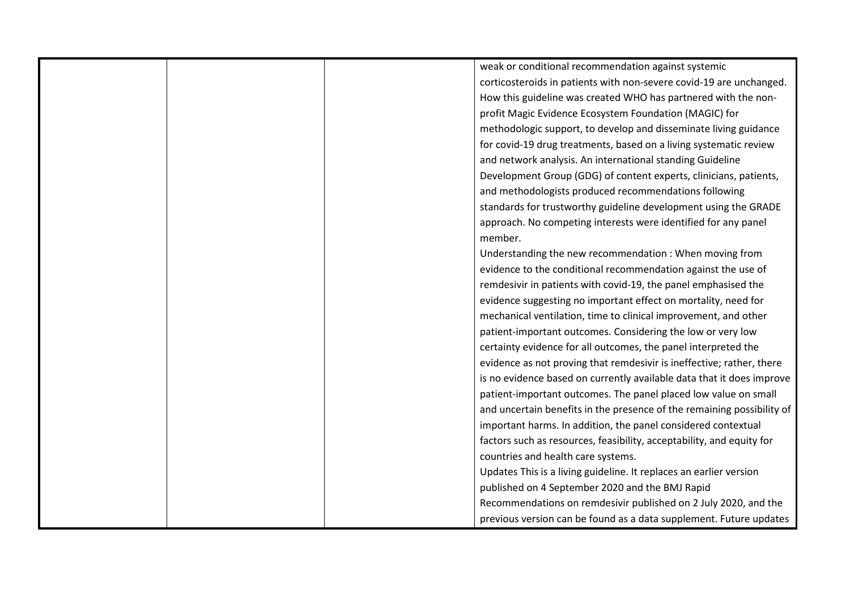|  | weak or conditional recommendation against systemic                    |
|--|------------------------------------------------------------------------|
|  | corticosteroids in patients with non-severe covid-19 are unchanged.    |
|  | How this guideline was created WHO has partnered with the non-         |
|  | profit Magic Evidence Ecosystem Foundation (MAGIC) for                 |
|  | methodologic support, to develop and disseminate living guidance       |
|  | for covid-19 drug treatments, based on a living systematic review      |
|  | and network analysis. An international standing Guideline              |
|  | Development Group (GDG) of content experts, clinicians, patients,      |
|  | and methodologists produced recommendations following                  |
|  | standards for trustworthy guideline development using the GRADE        |
|  | approach. No competing interests were identified for any panel         |
|  | member.                                                                |
|  | Understanding the new recommendation : When moving from                |
|  | evidence to the conditional recommendation against the use of          |
|  | remdesivir in patients with covid-19, the panel emphasised the         |
|  | evidence suggesting no important effect on mortality, need for         |
|  | mechanical ventilation, time to clinical improvement, and other        |
|  | patient-important outcomes. Considering the low or very low            |
|  | certainty evidence for all outcomes, the panel interpreted the         |
|  | evidence as not proving that remdesivir is ineffective; rather, there  |
|  | is no evidence based on currently available data that it does improve  |
|  | patient-important outcomes. The panel placed low value on small        |
|  | and uncertain benefits in the presence of the remaining possibility of |
|  | important harms. In addition, the panel considered contextual          |
|  | factors such as resources, feasibility, acceptability, and equity for  |
|  | countries and health care systems.                                     |
|  | Updates This is a living guideline. It replaces an earlier version     |
|  | published on 4 September 2020 and the BMJ Rapid                        |
|  | Recommendations on remdesivir published on 2 July 2020, and the        |
|  | previous version can be found as a data supplement. Future updates     |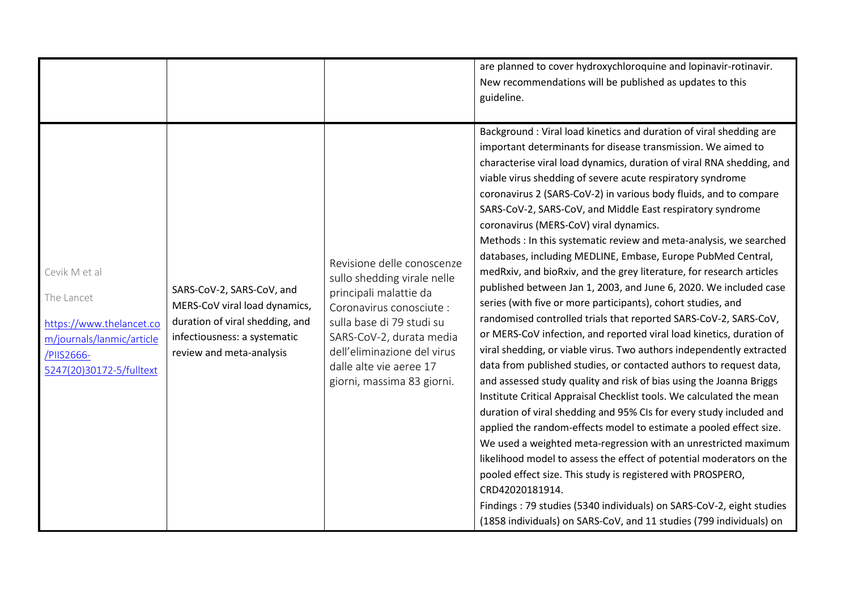|                                                                                                                                |                                                                                                                                                           |                                                                                                                                                                                                                                                                  | are planned to cover hydroxychloroquine and lopinavir-rotinavir.<br>New recommendations will be published as updates to this<br>guideline.                                                                                                                                                                                                                                                                                                                                                                                                                                                                                                                                                                                                                                                                                                                                                                                                                                                                                                                                                                                                                                                                                                                                                                                                                                                                                                                                                                                                                                                                                                                                                                                                                                  |
|--------------------------------------------------------------------------------------------------------------------------------|-----------------------------------------------------------------------------------------------------------------------------------------------------------|------------------------------------------------------------------------------------------------------------------------------------------------------------------------------------------------------------------------------------------------------------------|-----------------------------------------------------------------------------------------------------------------------------------------------------------------------------------------------------------------------------------------------------------------------------------------------------------------------------------------------------------------------------------------------------------------------------------------------------------------------------------------------------------------------------------------------------------------------------------------------------------------------------------------------------------------------------------------------------------------------------------------------------------------------------------------------------------------------------------------------------------------------------------------------------------------------------------------------------------------------------------------------------------------------------------------------------------------------------------------------------------------------------------------------------------------------------------------------------------------------------------------------------------------------------------------------------------------------------------------------------------------------------------------------------------------------------------------------------------------------------------------------------------------------------------------------------------------------------------------------------------------------------------------------------------------------------------------------------------------------------------------------------------------------------|
| Cevik M et al<br>The Lancet<br>https://www.thelancet.co<br>m/journals/lanmic/article<br>/PIIS2666-<br>5247(20)30172-5/fulltext | SARS-CoV-2, SARS-CoV, and<br>MERS-CoV viral load dynamics,<br>duration of viral shedding, and<br>infectiousness: a systematic<br>review and meta-analysis | Revisione delle conoscenze<br>sullo shedding virale nelle<br>principali malattie da<br>Coronavirus conosciute :<br>sulla base di 79 studi su<br>SARS-CoV-2, durata media<br>dell'eliminazione del virus<br>dalle alte vie aeree 17<br>giorni, massima 83 giorni. | Background: Viral load kinetics and duration of viral shedding are<br>important determinants for disease transmission. We aimed to<br>characterise viral load dynamics, duration of viral RNA shedding, and<br>viable virus shedding of severe acute respiratory syndrome<br>coronavirus 2 (SARS-CoV-2) in various body fluids, and to compare<br>SARS-CoV-2, SARS-CoV, and Middle East respiratory syndrome<br>coronavirus (MERS-CoV) viral dynamics.<br>Methods : In this systematic review and meta-analysis, we searched<br>databases, including MEDLINE, Embase, Europe PubMed Central,<br>medRxiv, and bioRxiv, and the grey literature, for research articles<br>published between Jan 1, 2003, and June 6, 2020. We included case<br>series (with five or more participants), cohort studies, and<br>randomised controlled trials that reported SARS-CoV-2, SARS-CoV,<br>or MERS-CoV infection, and reported viral load kinetics, duration of<br>viral shedding, or viable virus. Two authors independently extracted<br>data from published studies, or contacted authors to request data,<br>and assessed study quality and risk of bias using the Joanna Briggs<br>Institute Critical Appraisal Checklist tools. We calculated the mean<br>duration of viral shedding and 95% CIs for every study included and<br>applied the random-effects model to estimate a pooled effect size.<br>We used a weighted meta-regression with an unrestricted maximum<br>likelihood model to assess the effect of potential moderators on the<br>pooled effect size. This study is registered with PROSPERO,<br>CRD42020181914.<br>Findings: 79 studies (5340 individuals) on SARS-CoV-2, eight studies<br>(1858 individuals) on SARS-CoV, and 11 studies (799 individuals) on |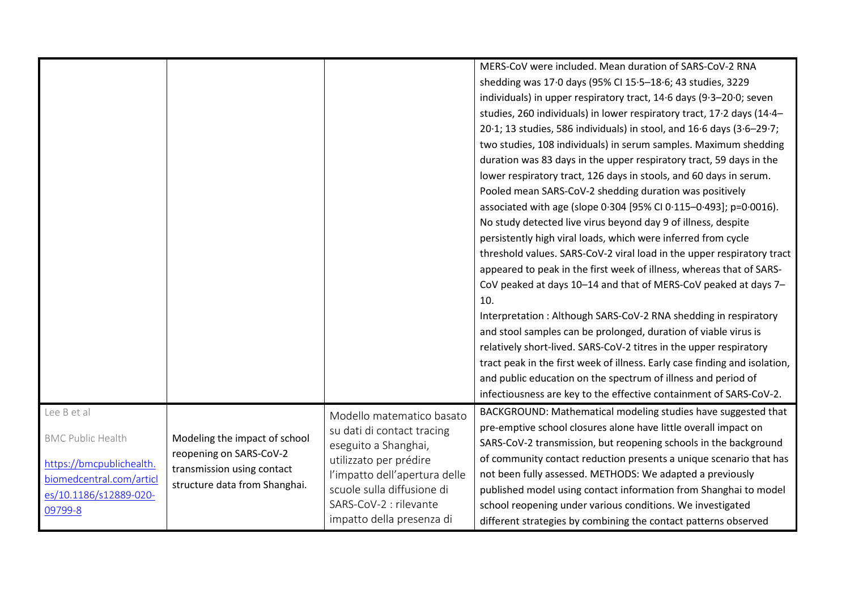|                                                                                                 |                                                                                                                         |                                                                                                                                                                          | MERS-CoV were included. Mean duration of SARS-CoV-2 RNA<br>shedding was 17.0 days (95% CI 15.5-18.6; 43 studies, 3229<br>individuals) in upper respiratory tract, 14.6 days (9.3-20.0; seven<br>studies, 260 individuals) in lower respiratory tract, 17.2 days (14.4-<br>20.1; 13 studies, 586 individuals) in stool, and 16.6 days (3.6-29.7;<br>two studies, 108 individuals) in serum samples. Maximum shedding<br>duration was 83 days in the upper respiratory tract, 59 days in the<br>lower respiratory tract, 126 days in stools, and 60 days in serum.<br>Pooled mean SARS-CoV-2 shedding duration was positively<br>associated with age (slope 0.304 [95% CI 0.115-0.493]; p=0.0016).<br>No study detected live virus beyond day 9 of illness, despite<br>persistently high viral loads, which were inferred from cycle<br>threshold values. SARS-CoV-2 viral load in the upper respiratory tract<br>appeared to peak in the first week of illness, whereas that of SARS-<br>CoV peaked at days 10-14 and that of MERS-CoV peaked at days 7-<br>10.<br>Interpretation: Although SARS-CoV-2 RNA shedding in respiratory<br>and stool samples can be prolonged, duration of viable virus is<br>relatively short-lived. SARS-CoV-2 titres in the upper respiratory<br>tract peak in the first week of illness. Early case finding and isolation, |
|-------------------------------------------------------------------------------------------------|-------------------------------------------------------------------------------------------------------------------------|--------------------------------------------------------------------------------------------------------------------------------------------------------------------------|----------------------------------------------------------------------------------------------------------------------------------------------------------------------------------------------------------------------------------------------------------------------------------------------------------------------------------------------------------------------------------------------------------------------------------------------------------------------------------------------------------------------------------------------------------------------------------------------------------------------------------------------------------------------------------------------------------------------------------------------------------------------------------------------------------------------------------------------------------------------------------------------------------------------------------------------------------------------------------------------------------------------------------------------------------------------------------------------------------------------------------------------------------------------------------------------------------------------------------------------------------------------------------------------------------------------------------------------------------|
|                                                                                                 |                                                                                                                         |                                                                                                                                                                          |                                                                                                                                                                                                                                                                                                                                                                                                                                                                                                                                                                                                                                                                                                                                                                                                                                                                                                                                                                                                                                                                                                                                                                                                                                                                                                                                                          |
|                                                                                                 |                                                                                                                         |                                                                                                                                                                          | and public education on the spectrum of illness and period of                                                                                                                                                                                                                                                                                                                                                                                                                                                                                                                                                                                                                                                                                                                                                                                                                                                                                                                                                                                                                                                                                                                                                                                                                                                                                            |
|                                                                                                 |                                                                                                                         |                                                                                                                                                                          | infectiousness are key to the effective containment of SARS-CoV-2.                                                                                                                                                                                                                                                                                                                                                                                                                                                                                                                                                                                                                                                                                                                                                                                                                                                                                                                                                                                                                                                                                                                                                                                                                                                                                       |
| Lee B et al<br><b>BMC Public Health</b><br>https://bmcpublichealth.<br>biomedcentral.com/articl | Modeling the impact of school<br>reopening on SARS-CoV-2<br>transmission using contact<br>structure data from Shanghai. | Modello matematico basato<br>su dati di contact tracing<br>eseguito a Shanghai,<br>utilizzato per prédire<br>l'impatto dell'apertura delle<br>scuole sulla diffusione di | BACKGROUND: Mathematical modeling studies have suggested that<br>pre-emptive school closures alone have little overall impact on<br>SARS-CoV-2 transmission, but reopening schools in the background<br>of community contact reduction presents a unique scenario that has<br>not been fully assessed. METHODS: We adapted a previously<br>published model using contact information from Shanghai to model                                                                                                                                                                                                                                                                                                                                                                                                                                                                                                                                                                                                                                                                                                                                                                                                                                                                                                                                              |
| es/10.1186/s12889-020-<br>09799-8                                                               |                                                                                                                         | SARS-CoV-2 : rilevante<br>impatto della presenza di                                                                                                                      | school reopening under various conditions. We investigated<br>different strategies by combining the contact patterns observed                                                                                                                                                                                                                                                                                                                                                                                                                                                                                                                                                                                                                                                                                                                                                                                                                                                                                                                                                                                                                                                                                                                                                                                                                            |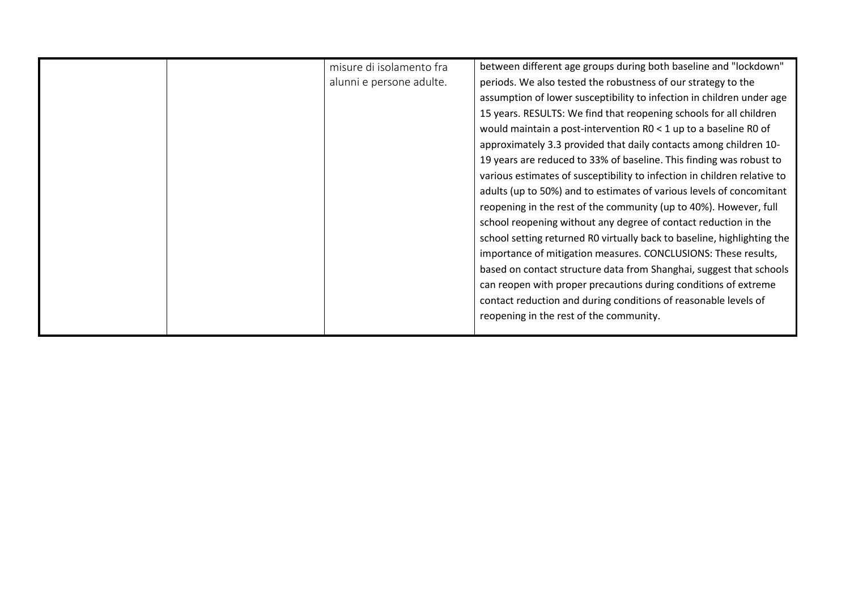|  | misure di isolamento fra<br>alunni e persone adulte. | between different age groups during both baseline and "lockdown"<br>periods. We also tested the robustness of our strategy to the<br>assumption of lower susceptibility to infection in children under age<br>15 years. RESULTS: We find that reopening schools for all children<br>would maintain a post-intervention R0 < 1 up to a baseline R0 of<br>approximately 3.3 provided that daily contacts among children 10-<br>19 years are reduced to 33% of baseline. This finding was robust to<br>various estimates of susceptibility to infection in children relative to<br>adults (up to 50%) and to estimates of various levels of concomitant<br>reopening in the rest of the community (up to 40%). However, full<br>school reopening without any degree of contact reduction in the<br>school setting returned R0 virtually back to baseline, highlighting the<br>importance of mitigation measures. CONCLUSIONS: These results,<br>based on contact structure data from Shanghai, suggest that schools<br>can reopen with proper precautions during conditions of extreme<br>contact reduction and during conditions of reasonable levels of<br>reopening in the rest of the community. |
|--|------------------------------------------------------|---------------------------------------------------------------------------------------------------------------------------------------------------------------------------------------------------------------------------------------------------------------------------------------------------------------------------------------------------------------------------------------------------------------------------------------------------------------------------------------------------------------------------------------------------------------------------------------------------------------------------------------------------------------------------------------------------------------------------------------------------------------------------------------------------------------------------------------------------------------------------------------------------------------------------------------------------------------------------------------------------------------------------------------------------------------------------------------------------------------------------------------------------------------------------------------------------|
|--|------------------------------------------------------|---------------------------------------------------------------------------------------------------------------------------------------------------------------------------------------------------------------------------------------------------------------------------------------------------------------------------------------------------------------------------------------------------------------------------------------------------------------------------------------------------------------------------------------------------------------------------------------------------------------------------------------------------------------------------------------------------------------------------------------------------------------------------------------------------------------------------------------------------------------------------------------------------------------------------------------------------------------------------------------------------------------------------------------------------------------------------------------------------------------------------------------------------------------------------------------------------|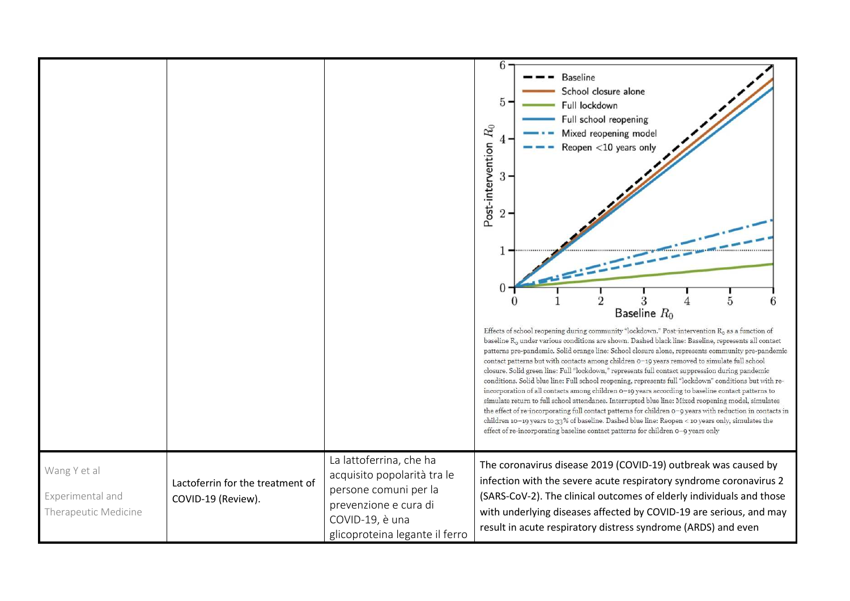|                                                          |                                                        |                                                                                                                                                               | $6 \cdot$<br><b>Baseline</b><br>School closure alone<br>5<br>Full lockdown<br>Full school reopening<br>Post-intervention $R_0$<br>Mixed reopening model<br>4<br>Reopen <10 years only<br>$3 -$<br>2<br>5<br>Baseline $R_0$                                                                                                                                                                                                                                                                                                                                                                                                                                                                                                                                                                                                                                                                                                                                                                                                                                                                                                                    |
|----------------------------------------------------------|--------------------------------------------------------|---------------------------------------------------------------------------------------------------------------------------------------------------------------|-----------------------------------------------------------------------------------------------------------------------------------------------------------------------------------------------------------------------------------------------------------------------------------------------------------------------------------------------------------------------------------------------------------------------------------------------------------------------------------------------------------------------------------------------------------------------------------------------------------------------------------------------------------------------------------------------------------------------------------------------------------------------------------------------------------------------------------------------------------------------------------------------------------------------------------------------------------------------------------------------------------------------------------------------------------------------------------------------------------------------------------------------|
|                                                          |                                                        |                                                                                                                                                               | Effects of school reopening during community "lockdown." Post-intervention $R_0$ as a function of<br>baseline $R_0$ under various conditions are shown. Dashed black line: Baseline, represents all contact<br>patterns pre-pandemic. Solid orange line: School closure alone, represents community pre-pandemic<br>contact patterns but with contacts among children 0-19 years removed to simulate full school<br>closure. Solid green line: Full "lockdown," represents full contact suppression during pandemic<br>conditions. Solid blue line: Full school reopening, represents full "lockdown" conditions but with re-<br>incorporation of all contacts among children 0-19 years according to baseline contact patterns to<br>simulate return to full school attendance. Interrupted blue line: Mixed reopening model, simulates<br>the effect of re-incorporating full contact patterns for children 0-9 years with reduction in contacts in<br>children 10-19 years to 33% of baseline. Dashed blue line: Reopen < 10 years only, simulates the<br>effect of re-incorporating baseline contact patterns for children 0-9 years only |
| Wang Y et al<br>Experimental and<br>Therapeutic Medicine | Lactoferrin for the treatment of<br>COVID-19 (Review). | La lattoferrina, che ha<br>acquisito popolarità tra le<br>persone comuni per la<br>prevenzione e cura di<br>COVID-19, è una<br>glicoproteina legante il ferro | The coronavirus disease 2019 (COVID-19) outbreak was caused by<br>infection with the severe acute respiratory syndrome coronavirus 2<br>(SARS-CoV-2). The clinical outcomes of elderly individuals and those<br>with underlying diseases affected by COVID-19 are serious, and may<br>result in acute respiratory distress syndrome (ARDS) and even                                                                                                                                                                                                                                                                                                                                                                                                                                                                                                                                                                                                                                                                                                                                                                                           |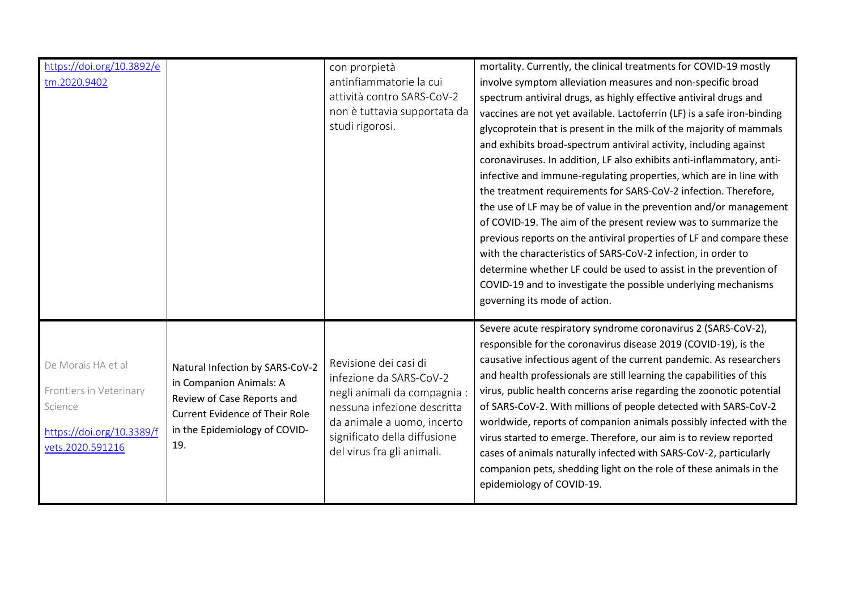| https://doi.org/10.3892/e<br>tm.2020.9402                                                                 |                                                                                                                                                                           | con prorpietà<br>antinfiammatorie la cui<br>attività contro SARS-CoV-2<br>non è tuttavia supportata da<br>studi rigorosi.                                                                                   | mortality. Currently, the clinical treatments for COVID-19 mostly<br>involve symptom alleviation measures and non-specific broad<br>spectrum antiviral drugs, as highly effective antiviral drugs and<br>vaccines are not yet available. Lactoferrin (LF) is a safe iron-binding<br>glycoprotein that is present in the milk of the majority of mammals<br>and exhibits broad-spectrum antiviral activity, including against<br>coronaviruses. In addition, LF also exhibits anti-inflammatory, anti-<br>infective and immune-regulating properties, which are in line with<br>the treatment requirements for SARS-CoV-2 infection. Therefore,<br>the use of LF may be of value in the prevention and/or management<br>of COVID-19. The aim of the present review was to summarize the<br>previous reports on the antiviral properties of LF and compare these<br>with the characteristics of SARS-CoV-2 infection, in order to |
|-----------------------------------------------------------------------------------------------------------|---------------------------------------------------------------------------------------------------------------------------------------------------------------------------|-------------------------------------------------------------------------------------------------------------------------------------------------------------------------------------------------------------|---------------------------------------------------------------------------------------------------------------------------------------------------------------------------------------------------------------------------------------------------------------------------------------------------------------------------------------------------------------------------------------------------------------------------------------------------------------------------------------------------------------------------------------------------------------------------------------------------------------------------------------------------------------------------------------------------------------------------------------------------------------------------------------------------------------------------------------------------------------------------------------------------------------------------------|
|                                                                                                           |                                                                                                                                                                           |                                                                                                                                                                                                             | determine whether LF could be used to assist in the prevention of<br>COVID-19 and to investigate the possible underlying mechanisms<br>governing its mode of action.                                                                                                                                                                                                                                                                                                                                                                                                                                                                                                                                                                                                                                                                                                                                                            |
| De Morais HA et al<br>Frontiers in Veterinary<br>Science<br>https://doi.org/10.3389/f<br>vets.2020.591216 | Natural Infection by SARS-CoV-2<br>in Companion Animals: A<br>Review of Case Reports and<br><b>Current Evidence of Their Role</b><br>in the Epidemiology of COVID-<br>19. | Revisione dei casi di<br>infezione da SARS-CoV-2<br>negli animali da compagnia :<br>nessuna infezione descritta<br>da animale a uomo, incerto<br>significato della diffusione<br>del virus fra gli animali. | Severe acute respiratory syndrome coronavirus 2 (SARS-CoV-2),<br>responsible for the coronavirus disease 2019 (COVID-19), is the<br>causative infectious agent of the current pandemic. As researchers<br>and health professionals are still learning the capabilities of this<br>virus, public health concerns arise regarding the zoonotic potential<br>of SARS-CoV-2. With millions of people detected with SARS-CoV-2<br>worldwide, reports of companion animals possibly infected with the<br>virus started to emerge. Therefore, our aim is to review reported<br>cases of animals naturally infected with SARS-CoV-2, particularly<br>companion pets, shedding light on the role of these animals in the<br>epidemiology of COVID-19.                                                                                                                                                                                    |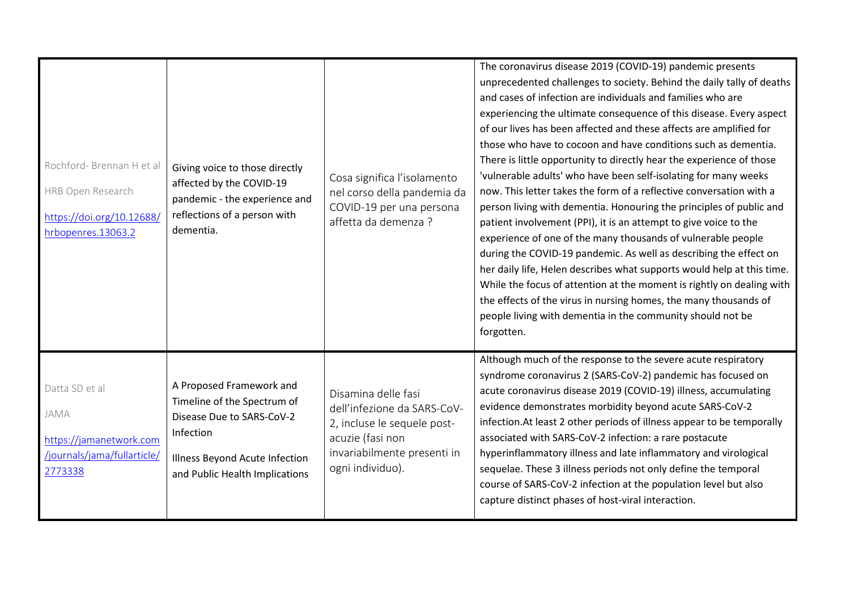| Rochford-Brennan H et al<br>HRB Open Research<br>https://doi.org/10.12688/<br>hrbopenres.13063.2 | Giving voice to those directly<br>affected by the COVID-19<br>pandemic - the experience and<br>reflections of a person with<br>dementia.                              | Cosa significa l'isolamento<br>nel corso della pandemia da<br>COVID-19 per una persona<br>affetta da demenza ?                                           | The coronavirus disease 2019 (COVID-19) pandemic presents<br>unprecedented challenges to society. Behind the daily tally of deaths<br>and cases of infection are individuals and families who are<br>experiencing the ultimate consequence of this disease. Every aspect<br>of our lives has been affected and these affects are amplified for<br>those who have to cocoon and have conditions such as dementia.<br>There is little opportunity to directly hear the experience of those<br>'vulnerable adults' who have been self-isolating for many weeks<br>now. This letter takes the form of a reflective conversation with a<br>person living with dementia. Honouring the principles of public and<br>patient involvement (PPI), it is an attempt to give voice to the<br>experience of one of the many thousands of vulnerable people<br>during the COVID-19 pandemic. As well as describing the effect on<br>her daily life, Helen describes what supports would help at this time.<br>While the focus of attention at the moment is rightly on dealing with<br>the effects of the virus in nursing homes, the many thousands of<br>people living with dementia in the community should not be<br>forgotten. |
|--------------------------------------------------------------------------------------------------|-----------------------------------------------------------------------------------------------------------------------------------------------------------------------|----------------------------------------------------------------------------------------------------------------------------------------------------------|-----------------------------------------------------------------------------------------------------------------------------------------------------------------------------------------------------------------------------------------------------------------------------------------------------------------------------------------------------------------------------------------------------------------------------------------------------------------------------------------------------------------------------------------------------------------------------------------------------------------------------------------------------------------------------------------------------------------------------------------------------------------------------------------------------------------------------------------------------------------------------------------------------------------------------------------------------------------------------------------------------------------------------------------------------------------------------------------------------------------------------------------------------------------------------------------------------------------------|
| Datta SD et al<br>JAMA<br>https://jamanetwork.com<br>/journals/jama/fullarticle/<br>2773338      | A Proposed Framework and<br>Timeline of the Spectrum of<br>Disease Due to SARS-CoV-2<br>Infection<br>Illness Beyond Acute Infection<br>and Public Health Implications | Disamina delle fasi<br>dell'infezione da SARS-CoV-<br>2, incluse le sequele post-<br>acuzie (fasi non<br>invariabilmente presenti in<br>ogni individuo). | Although much of the response to the severe acute respiratory<br>syndrome coronavirus 2 (SARS-CoV-2) pandemic has focused on<br>acute coronavirus disease 2019 (COVID-19) illness, accumulating<br>evidence demonstrates morbidity beyond acute SARS-CoV-2<br>infection. At least 2 other periods of illness appear to be temporally<br>associated with SARS-CoV-2 infection: a rare postacute<br>hyperinflammatory illness and late inflammatory and virological<br>sequelae. These 3 illness periods not only define the temporal<br>course of SARS-CoV-2 infection at the population level but also<br>capture distinct phases of host-viral interaction.                                                                                                                                                                                                                                                                                                                                                                                                                                                                                                                                                          |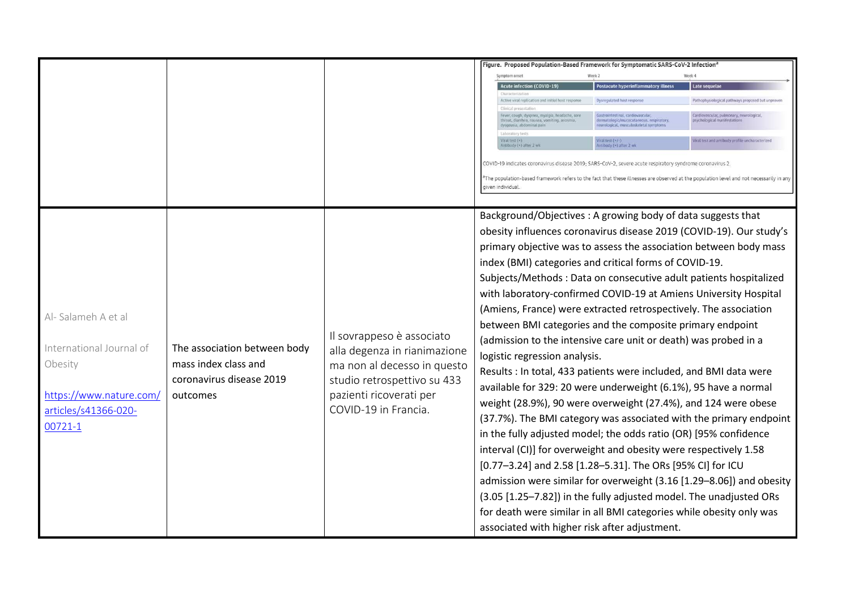|                                                                                                                         |                                                                                              |                                                                                                                                                                            | Figure. Proposed Population-Based Framework for Symptomatic SARS-CoV-2 Infection®<br>Week <sub>2</sub><br>Week 4<br><b>Acute infection (COVID-19)</b><br>Postacute hyperinflammatory illness<br>Late sequela<br>Active viral replication and initial host respons<br>Dysregulated host respon<br>Pathophysiological pathways proposed but unprove<br>Clinical pa<br>Fever, cough, dyspnea, myalgia, headache, sore<br>Gastrointestinal, cardiovascula<br>Cardiovascular, pulmonary, neurological,<br>dermatologic/mucocutaneous, respiratory,<br>psychological manifestations<br>throat, diarrhea, nausea, vomiting, anosmia<br>dysgeusia, abdominal pain<br>neurological, musculoskeletal symptom<br>$\text{Find test } (+)$<br>Viral test (+/-)<br>Viral test and antibody profile uncharacterized<br>ntibody (+) after 2 wk<br>ntibody (+) after 2 wk<br>COVID-19 indicates coronavirus disease 2019; SARS-CoV-2, severe acute respiratory syndrome coronavirus 2.<br>The population-based framework refers to the fact that these illnesses are observed at the population level and not necessarily in any<br>iiven individual                                                                                                                                                                                                                                                                         |
|-------------------------------------------------------------------------------------------------------------------------|----------------------------------------------------------------------------------------------|----------------------------------------------------------------------------------------------------------------------------------------------------------------------------|-------------------------------------------------------------------------------------------------------------------------------------------------------------------------------------------------------------------------------------------------------------------------------------------------------------------------------------------------------------------------------------------------------------------------------------------------------------------------------------------------------------------------------------------------------------------------------------------------------------------------------------------------------------------------------------------------------------------------------------------------------------------------------------------------------------------------------------------------------------------------------------------------------------------------------------------------------------------------------------------------------------------------------------------------------------------------------------------------------------------------------------------------------------------------------------------------------------------------------------------------------------------------------------------------------------------------------------------------------------------------------------------------------------|
| Al-Salameh A et al<br>International Journal of<br>Obesity<br>https://www.nature.com/<br>articles/s41366-020-<br>00721-1 | The association between body<br>mass index class and<br>coronavirus disease 2019<br>outcomes | Il sovrappeso è associato<br>alla degenza in rianimazione<br>ma non al decesso in questo<br>studio retrospettivo su 433<br>pazienti ricoverati per<br>COVID-19 in Francia. | Background/Objectives: A growing body of data suggests that<br>obesity influences coronavirus disease 2019 (COVID-19). Our study's<br>primary objective was to assess the association between body mass<br>index (BMI) categories and critical forms of COVID-19.<br>Subjects/Methods: Data on consecutive adult patients hospitalized<br>with laboratory-confirmed COVID-19 at Amiens University Hospital<br>(Amiens, France) were extracted retrospectively. The association<br>between BMI categories and the composite primary endpoint<br>(admission to the intensive care unit or death) was probed in a<br>logistic regression analysis.<br>Results : In total, 433 patients were included, and BMI data were<br>available for 329: 20 were underweight (6.1%), 95 have a normal<br>weight (28.9%), 90 were overweight (27.4%), and 124 were obese<br>(37.7%). The BMI category was associated with the primary endpoint<br>in the fully adjusted model; the odds ratio (OR) [95% confidence<br>interval (CI)] for overweight and obesity were respectively 1.58<br>[0.77-3.24] and 2.58 [1.28-5.31]. The ORs [95% CI] for ICU<br>admission were similar for overweight (3.16 [1.29-8.06]) and obesity<br>(3.05 [1.25-7.82]) in the fully adjusted model. The unadjusted ORs<br>for death were similar in all BMI categories while obesity only was<br>associated with higher risk after adjustment. |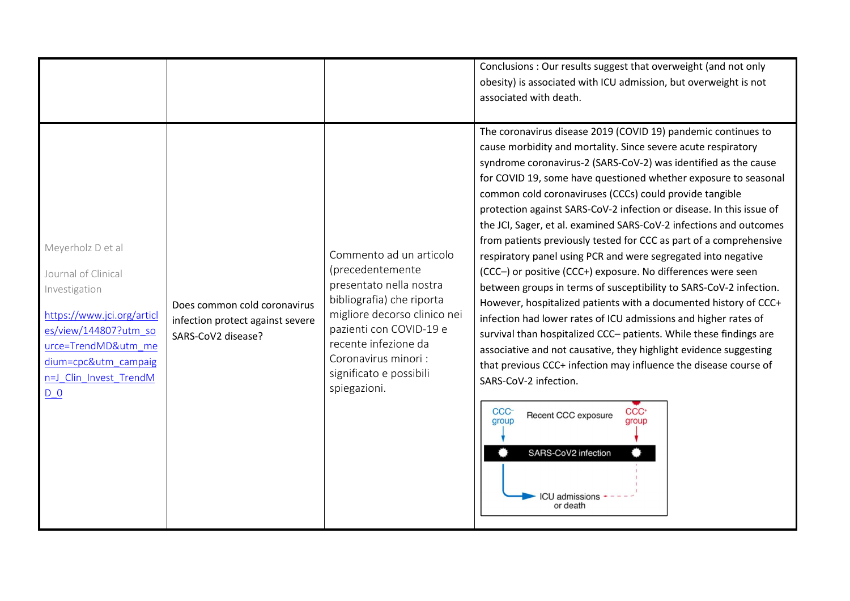|                                                                                                                                                                                                    |                                                                                        |                                                                                                                                                                                                                                                          | Conclusions : Our results suggest that overweight (and not only<br>obesity) is associated with ICU admission, but overweight is not<br>associated with death.                                                                                                                                                                                                                                                                                                                                                                                                                                                                                                                                                                                                                                                                                                                                                                                                                                                                                                                                                                                                                                                                                                              |
|----------------------------------------------------------------------------------------------------------------------------------------------------------------------------------------------------|----------------------------------------------------------------------------------------|----------------------------------------------------------------------------------------------------------------------------------------------------------------------------------------------------------------------------------------------------------|----------------------------------------------------------------------------------------------------------------------------------------------------------------------------------------------------------------------------------------------------------------------------------------------------------------------------------------------------------------------------------------------------------------------------------------------------------------------------------------------------------------------------------------------------------------------------------------------------------------------------------------------------------------------------------------------------------------------------------------------------------------------------------------------------------------------------------------------------------------------------------------------------------------------------------------------------------------------------------------------------------------------------------------------------------------------------------------------------------------------------------------------------------------------------------------------------------------------------------------------------------------------------|
| Meyerholz D et al<br>Journal of Clinical<br>Investigation<br>https://www.jci.org/articl<br>es/view/144807?utm so<br>urce=TrendMD&utm me<br>dium=cpc&utm_campaig<br>n=J_Clin_Invest_TrendM<br>$D_0$ | Does common cold coronavirus<br>infection protect against severe<br>SARS-CoV2 disease? | Commento ad un articolo<br>(precedentemente<br>presentato nella nostra<br>bibliografia) che riporta<br>migliore decorso clinico nei<br>pazienti con COVID-19 e<br>recente infezione da<br>Coronavirus minori:<br>significato e possibili<br>spiegazioni. | The coronavirus disease 2019 (COVID 19) pandemic continues to<br>cause morbidity and mortality. Since severe acute respiratory<br>syndrome coronavirus-2 (SARS-CoV-2) was identified as the cause<br>for COVID 19, some have questioned whether exposure to seasonal<br>common cold coronaviruses (CCCs) could provide tangible<br>protection against SARS-CoV-2 infection or disease. In this issue of<br>the JCI, Sager, et al. examined SARS-CoV-2 infections and outcomes<br>from patients previously tested for CCC as part of a comprehensive<br>respiratory panel using PCR and were segregated into negative<br>(CCC-) or positive (CCC+) exposure. No differences were seen<br>between groups in terms of susceptibility to SARS-CoV-2 infection.<br>However, hospitalized patients with a documented history of CCC+<br>infection had lower rates of ICU admissions and higher rates of<br>survival than hospitalized CCC- patients. While these findings are<br>associative and not causative, they highlight evidence suggesting<br>that previous CCC+ infection may influence the disease course of<br>SARS-CoV-2 infection.<br>CCC <sup>+</sup><br>CCC-<br>Recent CCC exposure<br>group<br>group<br>SARS-CoV2 infection<br><b>ICU</b> admissions<br>or death |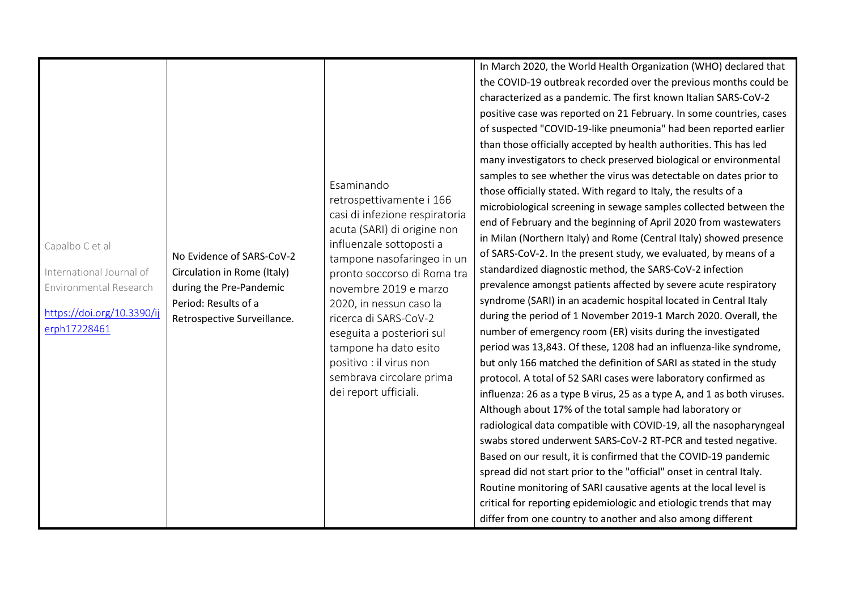|                                                                                                                     |                                                                                                                                            |                                                                                                                                                                                                                                                                                                                                                                                                                     | In March 2020, the World Health Organization (WHO) declared that<br>the COVID-19 outbreak recorded over the previous months could be<br>characterized as a pandemic. The first known Italian SARS-CoV-2<br>positive case was reported on 21 February. In some countries, cases<br>of suspected "COVID-19-like pneumonia" had been reported earlier<br>than those officially accepted by health authorities. This has led                                                                                                                                                                                                                                                                                                                                                                                                                                                                                                                                                                                                                                                                                                                                                                                                                                                                                                                                                                                                                                                                                                                                                                                                                                                             |
|---------------------------------------------------------------------------------------------------------------------|--------------------------------------------------------------------------------------------------------------------------------------------|---------------------------------------------------------------------------------------------------------------------------------------------------------------------------------------------------------------------------------------------------------------------------------------------------------------------------------------------------------------------------------------------------------------------|--------------------------------------------------------------------------------------------------------------------------------------------------------------------------------------------------------------------------------------------------------------------------------------------------------------------------------------------------------------------------------------------------------------------------------------------------------------------------------------------------------------------------------------------------------------------------------------------------------------------------------------------------------------------------------------------------------------------------------------------------------------------------------------------------------------------------------------------------------------------------------------------------------------------------------------------------------------------------------------------------------------------------------------------------------------------------------------------------------------------------------------------------------------------------------------------------------------------------------------------------------------------------------------------------------------------------------------------------------------------------------------------------------------------------------------------------------------------------------------------------------------------------------------------------------------------------------------------------------------------------------------------------------------------------------------|
| Capalbo C et al<br>International Journal of<br>Environmental Research<br>https://doi.org/10.3390/ij<br>erph17228461 | No Evidence of SARS-CoV-2<br>Circulation in Rome (Italy)<br>during the Pre-Pandemic<br>Period: Results of a<br>Retrospective Surveillance. | Esaminando<br>retrospettivamente i 166<br>casi di infezione respiratoria<br>acuta (SARI) di origine non<br>influenzale sottoposti a<br>tampone nasofaringeo in un<br>pronto soccorso di Roma tra<br>novembre 2019 e marzo<br>2020, in nessun caso la<br>ricerca di SARS-CoV-2<br>eseguita a posteriori sul<br>tampone ha dato esito<br>positivo : il virus non<br>sembrava circolare prima<br>dei report ufficiali. | many investigators to check preserved biological or environmental<br>samples to see whether the virus was detectable on dates prior to<br>those officially stated. With regard to Italy, the results of a<br>microbiological screening in sewage samples collected between the<br>end of February and the beginning of April 2020 from wastewaters<br>in Milan (Northern Italy) and Rome (Central Italy) showed presence<br>of SARS-CoV-2. In the present study, we evaluated, by means of a<br>standardized diagnostic method, the SARS-CoV-2 infection<br>prevalence amongst patients affected by severe acute respiratory<br>syndrome (SARI) in an academic hospital located in Central Italy<br>during the period of 1 November 2019-1 March 2020. Overall, the<br>number of emergency room (ER) visits during the investigated<br>period was 13,843. Of these, 1208 had an influenza-like syndrome,<br>but only 166 matched the definition of SARI as stated in the study<br>protocol. A total of 52 SARI cases were laboratory confirmed as<br>influenza: 26 as a type B virus, 25 as a type A, and 1 as both viruses.<br>Although about 17% of the total sample had laboratory or<br>radiological data compatible with COVID-19, all the nasopharyngeal<br>swabs stored underwent SARS-CoV-2 RT-PCR and tested negative.<br>Based on our result, it is confirmed that the COVID-19 pandemic<br>spread did not start prior to the "official" onset in central Italy.<br>Routine monitoring of SARI causative agents at the local level is<br>critical for reporting epidemiologic and etiologic trends that may<br>differ from one country to another and also among different |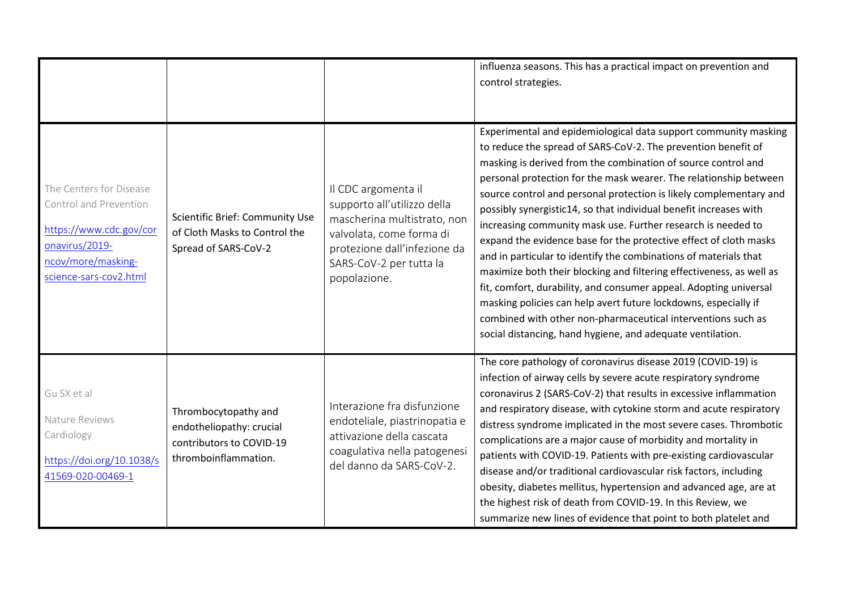|                                                                                                                                                |                                                                                                      |                                                                                                                                                                                          | influenza seasons. This has a practical impact on prevention and<br>control strategies.                                                                                                                                                                                                                                                                                                                                                                                                                                                                                                                                                                                                                                                                                                                                                                                                                                                                                  |
|------------------------------------------------------------------------------------------------------------------------------------------------|------------------------------------------------------------------------------------------------------|------------------------------------------------------------------------------------------------------------------------------------------------------------------------------------------|--------------------------------------------------------------------------------------------------------------------------------------------------------------------------------------------------------------------------------------------------------------------------------------------------------------------------------------------------------------------------------------------------------------------------------------------------------------------------------------------------------------------------------------------------------------------------------------------------------------------------------------------------------------------------------------------------------------------------------------------------------------------------------------------------------------------------------------------------------------------------------------------------------------------------------------------------------------------------|
| The Centers for Disease<br>Control and Prevention<br>https://www.cdc.gov/cor<br>onavirus/2019-<br>ncov/more/masking-<br>science-sars-cov2.html | Scientific Brief: Community Use<br>of Cloth Masks to Control the<br>Spread of SARS-CoV-2             | Il CDC argomenta il<br>supporto all'utilizzo della<br>mascherina multistrato, non<br>valvolata, come forma di<br>protezione dall'infezione da<br>SARS-CoV-2 per tutta la<br>popolazione. | Experimental and epidemiological data support community masking<br>to reduce the spread of SARS-CoV-2. The prevention benefit of<br>masking is derived from the combination of source control and<br>personal protection for the mask wearer. The relationship between<br>source control and personal protection is likely complementary and<br>possibly synergistic14, so that individual benefit increases with<br>increasing community mask use. Further research is needed to<br>expand the evidence base for the protective effect of cloth masks<br>and in particular to identify the combinations of materials that<br>maximize both their blocking and filtering effectiveness, as well as<br>fit, comfort, durability, and consumer appeal. Adopting universal<br>masking policies can help avert future lockdowns, especially if<br>combined with other non-pharmaceutical interventions such as<br>social distancing, hand hygiene, and adequate ventilation. |
| Gu SX et al<br>Nature Reviews<br>Cardiology<br>https://doi.org/10.1038/s<br>41569-020-00469-1                                                  | Thrombocytopathy and<br>endotheliopathy: crucial<br>contributors to COVID-19<br>thromboinflammation. | Interazione fra disfunzione<br>endoteliale, piastrinopatia e<br>attivazione della cascata<br>coagulativa nella patogenesi<br>del danno da SARS-CoV-2.                                    | The core pathology of coronavirus disease 2019 (COVID-19) is<br>infection of airway cells by severe acute respiratory syndrome<br>coronavirus 2 (SARS-CoV-2) that results in excessive inflammation<br>and respiratory disease, with cytokine storm and acute respiratory<br>distress syndrome implicated in the most severe cases. Thrombotic<br>complications are a major cause of morbidity and mortality in<br>patients with COVID-19. Patients with pre-existing cardiovascular<br>disease and/or traditional cardiovascular risk factors, including<br>obesity, diabetes mellitus, hypertension and advanced age, are at<br>the highest risk of death from COVID-19. In this Review, we<br>summarize new lines of evidence that point to both platelet and                                                                                                                                                                                                         |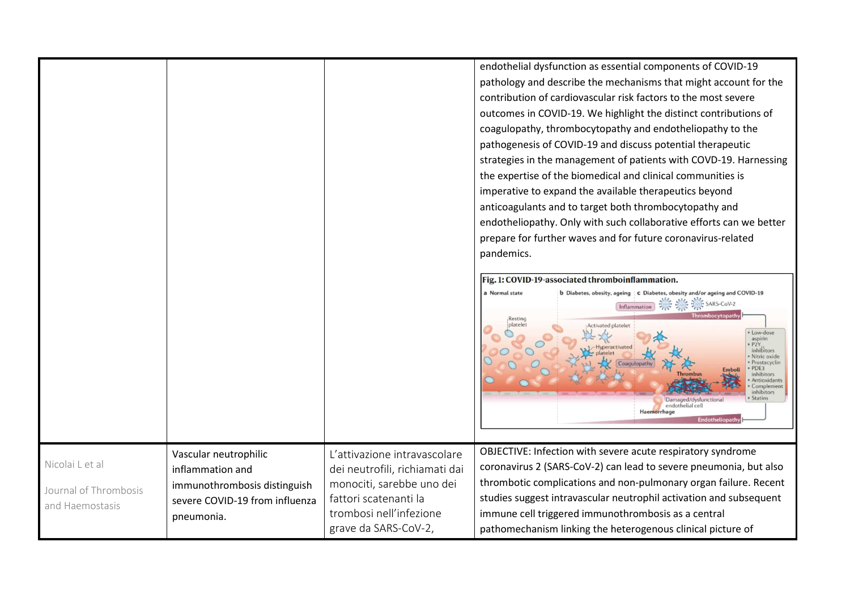|                       |                                |                                                             | endothelial dysfunction as essential components of COVID-19                                                                                                                                                        |
|-----------------------|--------------------------------|-------------------------------------------------------------|--------------------------------------------------------------------------------------------------------------------------------------------------------------------------------------------------------------------|
|                       |                                |                                                             | pathology and describe the mechanisms that might account for the                                                                                                                                                   |
|                       |                                |                                                             | contribution of cardiovascular risk factors to the most severe                                                                                                                                                     |
|                       |                                |                                                             | outcomes in COVID-19. We highlight the distinct contributions of                                                                                                                                                   |
|                       |                                |                                                             | coagulopathy, thrombocytopathy and endotheliopathy to the                                                                                                                                                          |
|                       |                                |                                                             | pathogenesis of COVID-19 and discuss potential therapeutic                                                                                                                                                         |
|                       |                                |                                                             | strategies in the management of patients with COVD-19. Harnessing                                                                                                                                                  |
|                       |                                |                                                             | the expertise of the biomedical and clinical communities is                                                                                                                                                        |
|                       |                                |                                                             | imperative to expand the available therapeutics beyond                                                                                                                                                             |
|                       |                                |                                                             | anticoagulants and to target both thrombocytopathy and                                                                                                                                                             |
|                       |                                |                                                             | endotheliopathy. Only with such collaborative efforts can we better                                                                                                                                                |
|                       |                                |                                                             | prepare for further waves and for future coronavirus-related                                                                                                                                                       |
|                       |                                |                                                             | pandemics.                                                                                                                                                                                                         |
|                       |                                |                                                             |                                                                                                                                                                                                                    |
|                       |                                |                                                             | Fig. 1: COVID-19-associated thromboinflammation.<br>a Normal state<br>b Diabetes, obesity, ageing   c Diabetes, obesity and/or ageing and COVID-19                                                                 |
|                       |                                |                                                             | SARS-CoV-2<br><b>Activated platelet</b><br>Low-dose<br>aspirin                                                                                                                                                     |
|                       |                                |                                                             | · P2Y.<br>inhibitors<br>· Nitric oxide<br>· Prostacyclin<br>· PDE3<br>inhihito<br>Antioxidant<br>Complemen<br>inhibitors<br><b>Statins</b><br>Damaged/dysfunctiona<br>endothelial cell<br>Haemorrhage<br>Endotheli |
|                       |                                |                                                             | OBJECTIVE: Infection with severe acute respiratory syndrome                                                                                                                                                        |
| Nicolai L et al       | Vascular neutrophilic          | L'attivazione intravascolare                                | coronavirus 2 (SARS-CoV-2) can lead to severe pneumonia, but also                                                                                                                                                  |
|                       | inflammation and               | dei neutrofili, richiamati dai<br>monociti, sarebbe uno dei | thrombotic complications and non-pulmonary organ failure. Recent                                                                                                                                                   |
| Journal of Thrombosis | immunothrombosis distinguish   | fattori scatenanti la                                       | studies suggest intravascular neutrophil activation and subsequent                                                                                                                                                 |
| and Haemostasis       | severe COVID-19 from influenza | trombosi nell'infezione                                     | immune cell triggered immunothrombosis as a central                                                                                                                                                                |
|                       | pneumonia.                     | grave da SARS-CoV-2,                                        |                                                                                                                                                                                                                    |
|                       |                                |                                                             | pathomechanism linking the heterogenous clinical picture of                                                                                                                                                        |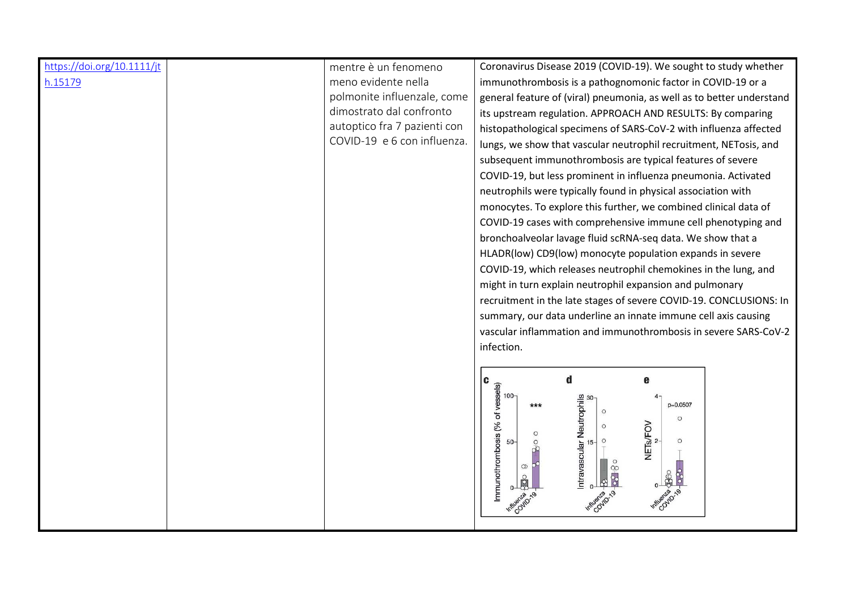| https://doi.org/10.1111/jt | mentre è un fenomeno         | Coronavirus Disease 2019 (COVID-19). We sought to study whether                      |
|----------------------------|------------------------------|--------------------------------------------------------------------------------------|
| h.15179                    | meno evidente nella          | immunothrombosis is a pathognomonic factor in COVID-19 or a                          |
|                            | polmonite influenzale, come  | general feature of (viral) pneumonia, as well as to better understand                |
|                            | dimostrato dal confronto     | its upstream regulation. APPROACH AND RESULTS: By comparing                          |
|                            | autoptico fra 7 pazienti con | histopathological specimens of SARS-CoV-2 with influenza affected                    |
|                            | COVID-19 e 6 con influenza.  | lungs, we show that vascular neutrophil recruitment, NETosis, and                    |
|                            |                              | subsequent immunothrombosis are typical features of severe                           |
|                            |                              | COVID-19, but less prominent in influenza pneumonia. Activated                       |
|                            |                              | neutrophils were typically found in physical association with                        |
|                            |                              | monocytes. To explore this further, we combined clinical data of                     |
|                            |                              | COVID-19 cases with comprehensive immune cell phenotyping and                        |
|                            |                              | bronchoalveolar lavage fluid scRNA-seq data. We show that a                          |
|                            |                              | HLADR(low) CD9(low) monocyte population expands in severe                            |
|                            |                              | COVID-19, which releases neutrophil chemokines in the lung, and                      |
|                            |                              | might in turn explain neutrophil expansion and pulmonary                             |
|                            |                              | recruitment in the late stages of severe COVID-19. CONCLUSIONS: In                   |
|                            |                              | summary, our data underline an innate immune cell axis causing                       |
|                            |                              | vascular inflammation and immunothrombosis in severe SARS-CoV-2                      |
|                            |                              | infection.                                                                           |
|                            |                              |                                                                                      |
|                            |                              | d<br>e<br>C                                                                          |
|                            |                              | $100 -$                                                                              |
|                            |                              | Immunothrombosis (% of vessels)<br>Intravascular Neutrophils<br>g<br>p=0.0507<br>*** |
|                            |                              | $\circ$<br>$\circ$                                                                   |
|                            |                              | $\circ$<br>$\circ$<br>$50-$                                                          |
|                            |                              | NETs/FOV                                                                             |
|                            |                              | $\infty$                                                                             |
|                            |                              | 88                                                                                   |
|                            |                              |                                                                                      |
|                            |                              |                                                                                      |
|                            |                              |                                                                                      |